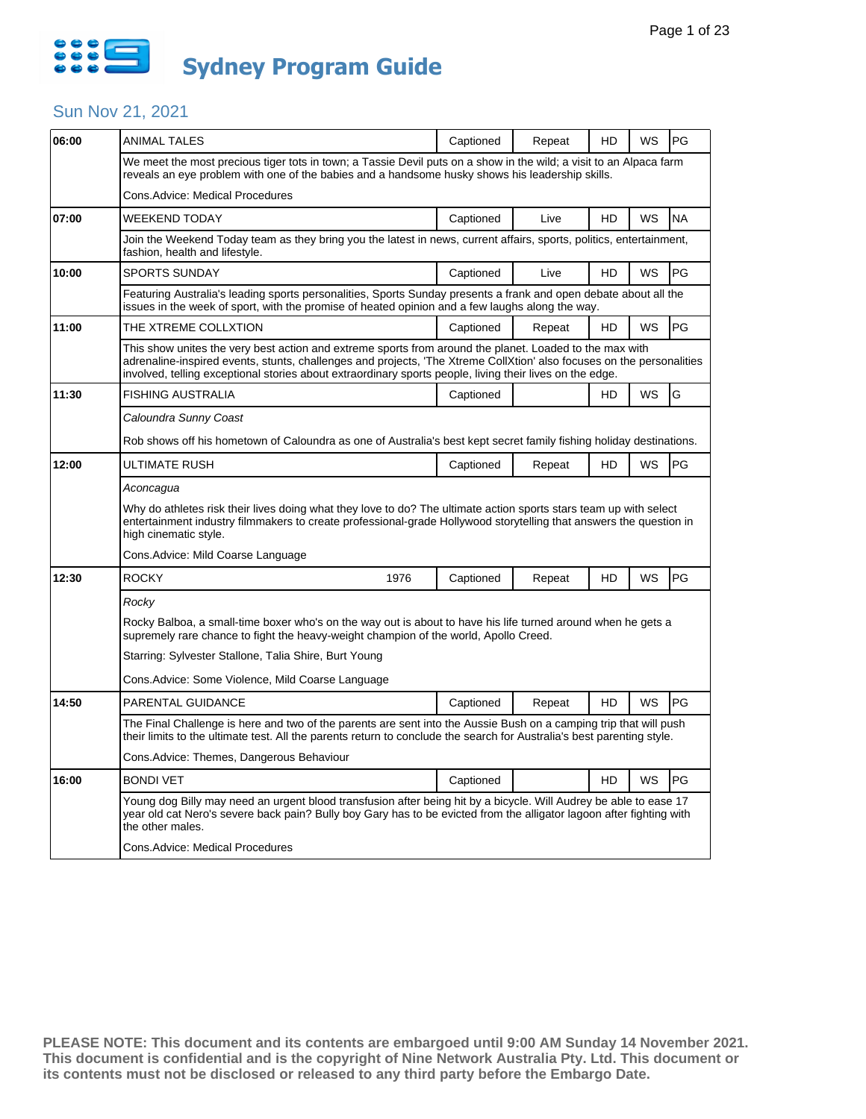

| 06:00 | ANIMAL TALES                                                                                                                                                                                                                                                                                                                                 | Captioned                                                                                                                                                                                                                                   | Repeat | HD | WS        | PG        |  |  |
|-------|----------------------------------------------------------------------------------------------------------------------------------------------------------------------------------------------------------------------------------------------------------------------------------------------------------------------------------------------|---------------------------------------------------------------------------------------------------------------------------------------------------------------------------------------------------------------------------------------------|--------|----|-----------|-----------|--|--|
|       | We meet the most precious tiger tots in town; a Tassie Devil puts on a show in the wild; a visit to an Alpaca farm<br>reveals an eye problem with one of the babies and a handsome husky shows his leadership skills.                                                                                                                        |                                                                                                                                                                                                                                             |        |    |           |           |  |  |
|       | Cons.Advice: Medical Procedures                                                                                                                                                                                                                                                                                                              |                                                                                                                                                                                                                                             |        |    |           |           |  |  |
| 07:00 | WEEKEND TODAY                                                                                                                                                                                                                                                                                                                                | Captioned                                                                                                                                                                                                                                   | Live   | HD | WS        | <b>NA</b> |  |  |
|       | Join the Weekend Today team as they bring you the latest in news, current affairs, sports, politics, entertainment,<br>fashion, health and lifestyle.                                                                                                                                                                                        |                                                                                                                                                                                                                                             |        |    |           |           |  |  |
| 10:00 | SPORTS SUNDAY                                                                                                                                                                                                                                                                                                                                | Captioned                                                                                                                                                                                                                                   | Live   | HD | WS        | PG        |  |  |
|       | Featuring Australia's leading sports personalities, Sports Sunday presents a frank and open debate about all the<br>issues in the week of sport, with the promise of heated opinion and a few laughs along the way.                                                                                                                          |                                                                                                                                                                                                                                             |        |    |           |           |  |  |
| 11:00 | THE XTREME COLLXTION                                                                                                                                                                                                                                                                                                                         | Captioned                                                                                                                                                                                                                                   | Repeat | HD | WS        | PG        |  |  |
|       | This show unites the very best action and extreme sports from around the planet. Loaded to the max with<br>adrenaline-inspired events, stunts, challenges and projects, 'The Xtreme CollXtion' also focuses on the personalities<br>involved, telling exceptional stories about extraordinary sports people, living their lives on the edge. |                                                                                                                                                                                                                                             |        |    |           |           |  |  |
| 11:30 | <b>FISHING AUSTRALIA</b>                                                                                                                                                                                                                                                                                                                     | Captioned                                                                                                                                                                                                                                   |        | HD | <b>WS</b> | G         |  |  |
|       | Caloundra Sunny Coast                                                                                                                                                                                                                                                                                                                        |                                                                                                                                                                                                                                             |        |    |           |           |  |  |
|       | Rob shows off his hometown of Caloundra as one of Australia's best kept secret family fishing holiday destinations.                                                                                                                                                                                                                          |                                                                                                                                                                                                                                             |        |    |           |           |  |  |
| 12:00 | ULTIMATE RUSH                                                                                                                                                                                                                                                                                                                                | Captioned                                                                                                                                                                                                                                   | Repeat | HD | WS        | PG        |  |  |
|       | Aconcagua                                                                                                                                                                                                                                                                                                                                    |                                                                                                                                                                                                                                             |        |    |           |           |  |  |
|       | Why do athletes risk their lives doing what they love to do? The ultimate action sports stars team up with select<br>entertainment industry filmmakers to create professional-grade Hollywood storytelling that answers the question in<br>high cinematic style.                                                                             |                                                                                                                                                                                                                                             |        |    |           |           |  |  |
|       | Cons. Advice: Mild Coarse Language                                                                                                                                                                                                                                                                                                           |                                                                                                                                                                                                                                             |        |    |           |           |  |  |
| 12:30 | <b>ROCKY</b><br>1976                                                                                                                                                                                                                                                                                                                         | Captioned                                                                                                                                                                                                                                   | Repeat | HD | WS        | PG        |  |  |
|       | Rocky                                                                                                                                                                                                                                                                                                                                        |                                                                                                                                                                                                                                             |        |    |           |           |  |  |
|       | Rocky Balboa, a small-time boxer who's on the way out is about to have his life turned around when he gets a<br>supremely rare chance to fight the heavy-weight champion of the world, Apollo Creed.                                                                                                                                         |                                                                                                                                                                                                                                             |        |    |           |           |  |  |
|       | Starring: Sylvester Stallone, Talia Shire, Burt Young                                                                                                                                                                                                                                                                                        |                                                                                                                                                                                                                                             |        |    |           |           |  |  |
|       | Cons. Advice: Some Violence, Mild Coarse Language                                                                                                                                                                                                                                                                                            |                                                                                                                                                                                                                                             |        |    |           |           |  |  |
| 14:50 | PARENTAL GUIDANCE                                                                                                                                                                                                                                                                                                                            | Captioned                                                                                                                                                                                                                                   | Repeat | HD | WS        | PG        |  |  |
|       |                                                                                                                                                                                                                                                                                                                                              | The Final Challenge is here and two of the parents are sent into the Aussie Bush on a camping trip that will push<br>their limits to the ultimate test. All the parents return to conclude the search for Australia's best parenting style. |        |    |           |           |  |  |
|       | Cons.Advice: Themes, Dangerous Behaviour                                                                                                                                                                                                                                                                                                     |                                                                                                                                                                                                                                             |        |    |           |           |  |  |
| 16:00 | <b>BONDI VET</b>                                                                                                                                                                                                                                                                                                                             | Captioned                                                                                                                                                                                                                                   |        | HD | WS        | PG        |  |  |
|       | Young dog Billy may need an urgent blood transfusion after being hit by a bicycle. Will Audrey be able to ease 17<br>year old cat Nero's severe back pain? Bully boy Gary has to be evicted from the alligator lagoon after fighting with<br>the other males.                                                                                |                                                                                                                                                                                                                                             |        |    |           |           |  |  |
|       | Cons.Advice: Medical Procedures                                                                                                                                                                                                                                                                                                              |                                                                                                                                                                                                                                             |        |    |           |           |  |  |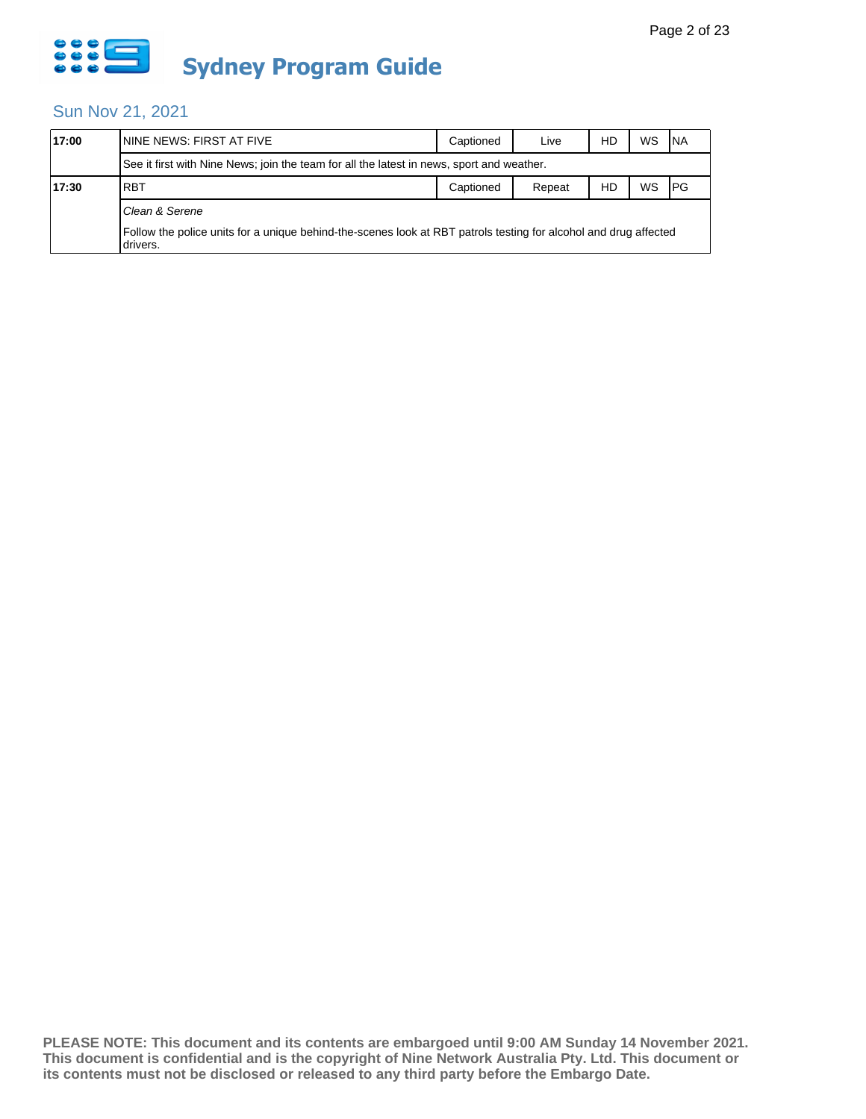

| 17:00 | ININE NEWS: FIRST AT FIVE                                                                                                    | Captioned | Live   | HD | WS | <b>INA</b> |  |  |  |
|-------|------------------------------------------------------------------------------------------------------------------------------|-----------|--------|----|----|------------|--|--|--|
|       | See it first with Nine News; join the team for all the latest in news, sport and weather.                                    |           |        |    |    |            |  |  |  |
| 17:30 | <b>RBT</b>                                                                                                                   | Captioned | Repeat | HD | WS | PG         |  |  |  |
|       | Clean & Serene                                                                                                               |           |        |    |    |            |  |  |  |
|       | Follow the police units for a unique behind-the-scenes look at RBT patrols testing for alcohol and drug affected<br>drivers. |           |        |    |    |            |  |  |  |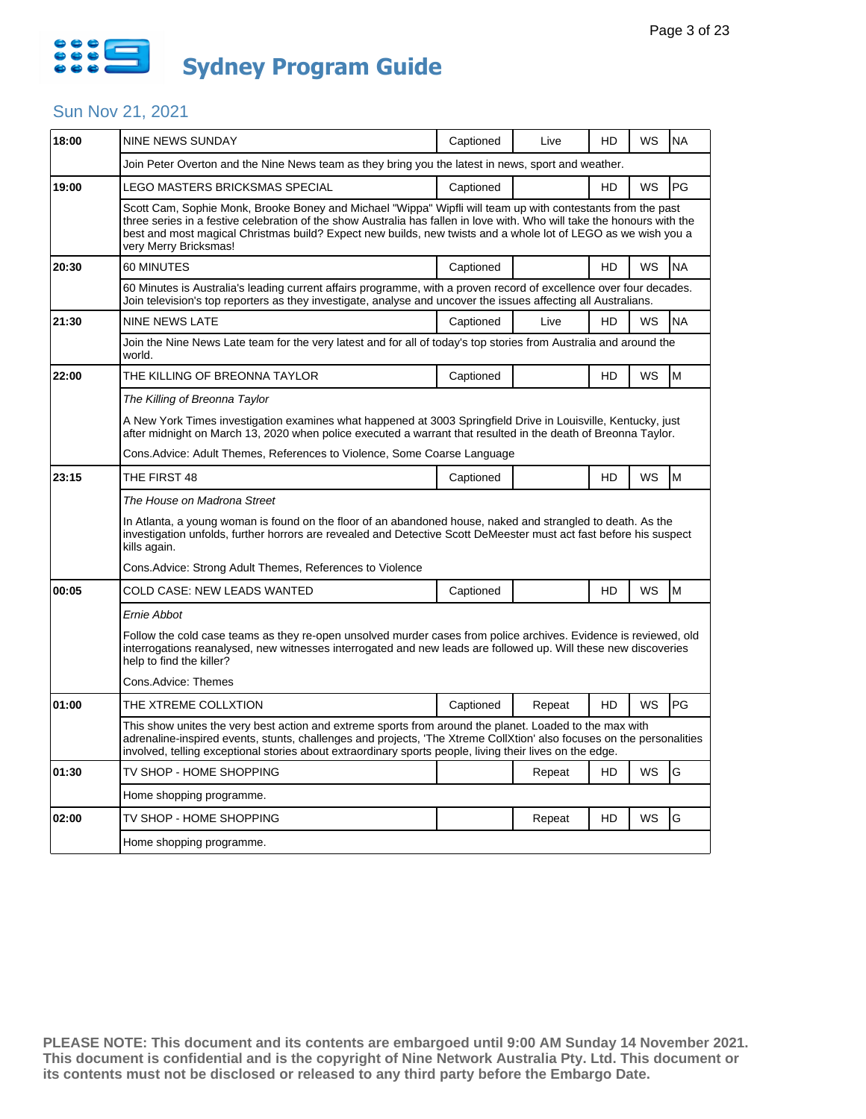

| 18:00 | <b>NINE NEWS SUNDAY</b>                                                                                                                                                                                                                                                                                                                                                          | Captioned | Live   | HD        | WS | <b>NA</b> |  |  |
|-------|----------------------------------------------------------------------------------------------------------------------------------------------------------------------------------------------------------------------------------------------------------------------------------------------------------------------------------------------------------------------------------|-----------|--------|-----------|----|-----------|--|--|
|       | Join Peter Overton and the Nine News team as they bring you the latest in news, sport and weather.                                                                                                                                                                                                                                                                               |           |        |           |    |           |  |  |
| 19:00 | LEGO MASTERS BRICKSMAS SPECIAL                                                                                                                                                                                                                                                                                                                                                   | Captioned |        | HD        | WS | PG        |  |  |
|       | Scott Cam, Sophie Monk, Brooke Boney and Michael "Wippa" Wipfli will team up with contestants from the past<br>three series in a festive celebration of the show Australia has fallen in love with. Who will take the honours with the<br>best and most magical Christmas build? Expect new builds, new twists and a whole lot of LEGO as we wish you a<br>very Merry Bricksmas! |           |        |           |    |           |  |  |
| 20:30 | 60 MINUTES                                                                                                                                                                                                                                                                                                                                                                       | Captioned |        | HD        | WS | <b>NA</b> |  |  |
|       | 60 Minutes is Australia's leading current affairs programme, with a proven record of excellence over four decades.<br>Join television's top reporters as they investigate, analyse and uncover the issues affecting all Australians.                                                                                                                                             |           |        |           |    |           |  |  |
| 21:30 | NINE NEWS LATE                                                                                                                                                                                                                                                                                                                                                                   | Captioned | Live   | HD        | WS | <b>NA</b> |  |  |
|       | Join the Nine News Late team for the very latest and for all of today's top stories from Australia and around the<br>world.                                                                                                                                                                                                                                                      |           |        |           |    |           |  |  |
| 22:00 | THE KILLING OF BREONNA TAYLOR                                                                                                                                                                                                                                                                                                                                                    |           | HD     | WS        | M  |           |  |  |
|       | The Killing of Breonna Taylor                                                                                                                                                                                                                                                                                                                                                    |           |        |           |    |           |  |  |
|       | A New York Times investigation examines what happened at 3003 Springfield Drive in Louisville, Kentucky, just<br>after midnight on March 13, 2020 when police executed a warrant that resulted in the death of Breonna Taylor.                                                                                                                                                   |           |        |           |    |           |  |  |
|       | Cons. Advice: Adult Themes, References to Violence, Some Coarse Language                                                                                                                                                                                                                                                                                                         |           |        |           |    |           |  |  |
| 23:15 | THE FIRST 48                                                                                                                                                                                                                                                                                                                                                                     | Captioned |        | HD        | WS | M         |  |  |
|       | The House on Madrona Street                                                                                                                                                                                                                                                                                                                                                      |           |        |           |    |           |  |  |
|       | In Atlanta, a young woman is found on the floor of an abandoned house, naked and strangled to death. As the<br>investigation unfolds, further horrors are revealed and Detective Scott DeMeester must act fast before his suspect<br>kills again.                                                                                                                                |           |        |           |    |           |  |  |
|       | Cons. Advice: Strong Adult Themes, References to Violence                                                                                                                                                                                                                                                                                                                        |           |        |           |    |           |  |  |
| 00:05 | COLD CASE: NEW LEADS WANTED                                                                                                                                                                                                                                                                                                                                                      | Captioned |        | HD        | WS | M         |  |  |
|       | Ernie Abbot                                                                                                                                                                                                                                                                                                                                                                      |           |        |           |    |           |  |  |
|       | Follow the cold case teams as they re-open unsolved murder cases from police archives. Evidence is reviewed, old<br>interrogations reanalysed, new witnesses interrogated and new leads are followed up. Will these new discoveries<br>help to find the killer?                                                                                                                  |           |        |           |    |           |  |  |
|       | Cons.Advice: Themes                                                                                                                                                                                                                                                                                                                                                              |           |        |           |    |           |  |  |
| 01:00 | THE XTREME COLLXTION                                                                                                                                                                                                                                                                                                                                                             | Captioned | Repeat | <b>HD</b> | WS | PG        |  |  |
|       | This show unites the very best action and extreme sports from around the planet. Loaded to the max with<br>adrenaline-inspired events, stunts, challenges and projects, 'The Xtreme CollXtion' also focuses on the personalities<br>involved, telling exceptional stories about extraordinary sports people, living their lives on the edge.                                     |           |        |           |    |           |  |  |
| 01:30 | TV SHOP - HOME SHOPPING                                                                                                                                                                                                                                                                                                                                                          |           | Repeat | HD        | WS | G         |  |  |
|       | Home shopping programme.                                                                                                                                                                                                                                                                                                                                                         |           |        |           |    |           |  |  |
| 02:00 | TV SHOP - HOME SHOPPING                                                                                                                                                                                                                                                                                                                                                          |           | Repeat | HD        | WS | G         |  |  |
|       | Home shopping programme.                                                                                                                                                                                                                                                                                                                                                         |           |        |           |    |           |  |  |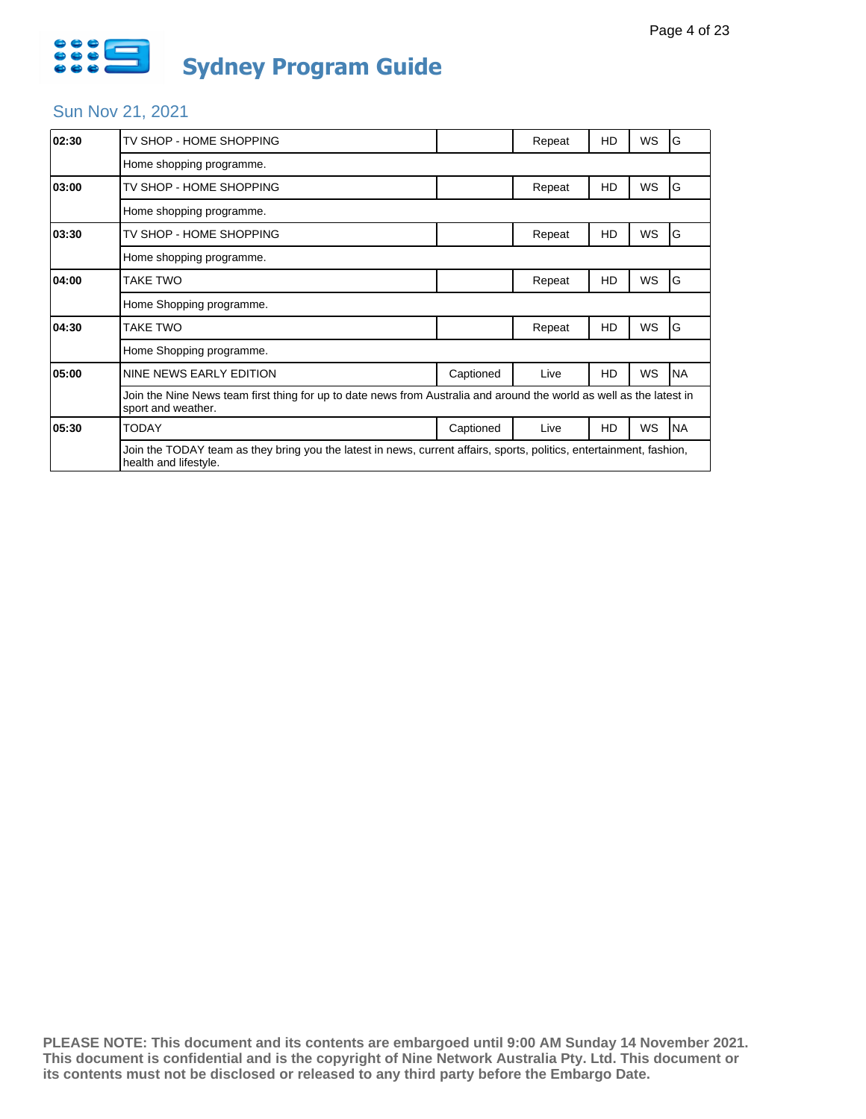

| 02:30 | TV SHOP - HOME SHOPPING                                                                                                                       |           | Repeat | HD | WS        | G         |  |
|-------|-----------------------------------------------------------------------------------------------------------------------------------------------|-----------|--------|----|-----------|-----------|--|
|       | Home shopping programme.                                                                                                                      |           |        |    |           |           |  |
| 03:00 | TV SHOP - HOME SHOPPING                                                                                                                       |           | Repeat | HD | WS        | G         |  |
|       | Home shopping programme.                                                                                                                      |           |        |    |           |           |  |
| 03:30 | TV SHOP - HOME SHOPPING                                                                                                                       |           | Repeat | HD | <b>WS</b> | ١G        |  |
|       | Home shopping programme.                                                                                                                      |           |        |    |           |           |  |
| 04:00 | TAKE TWO                                                                                                                                      |           | Repeat | HD | WS        | G         |  |
|       | Home Shopping programme.                                                                                                                      |           |        |    |           |           |  |
| 04:30 | TAKE TWO                                                                                                                                      |           | Repeat | HD | WS        | G         |  |
|       | Home Shopping programme.                                                                                                                      |           |        |    |           |           |  |
| 05:00 | NINE NEWS EARLY EDITION                                                                                                                       | Captioned | Live   | HD | WS        | <b>NA</b> |  |
|       | Join the Nine News team first thing for up to date news from Australia and around the world as well as the latest in<br>sport and weather.    |           |        |    |           |           |  |
| 05:30 | <b>TODAY</b>                                                                                                                                  | Captioned | Live   | HD | WS        | <b>NA</b> |  |
|       | Join the TODAY team as they bring you the latest in news, current affairs, sports, politics, entertainment, fashion,<br>health and lifestyle. |           |        |    |           |           |  |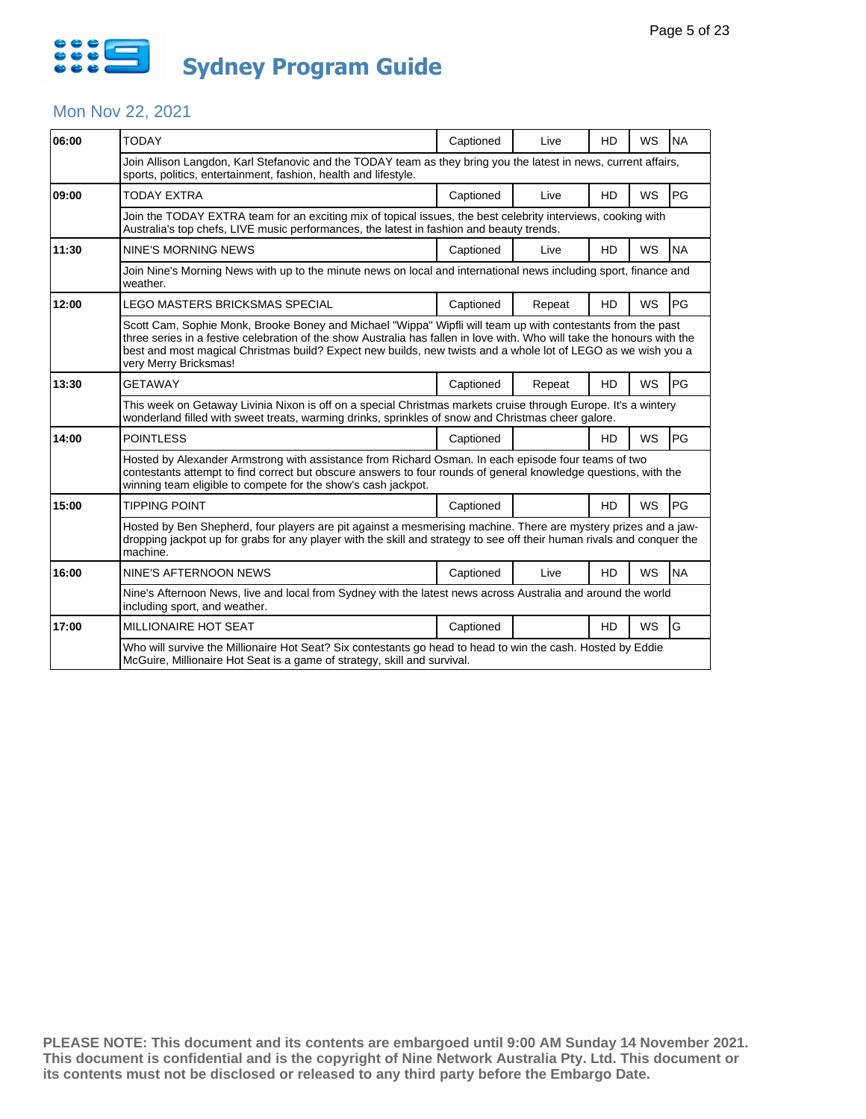

#### Mon Nov 22, 2021

| 06:00                                                                                                                                                                                                                                                                                                                                                                            | <b>TODAY</b>                                                                                                                                                                                                                                                                            | Captioned | Live   | HD        | WS        | <b>NA</b> |  |  |
|----------------------------------------------------------------------------------------------------------------------------------------------------------------------------------------------------------------------------------------------------------------------------------------------------------------------------------------------------------------------------------|-----------------------------------------------------------------------------------------------------------------------------------------------------------------------------------------------------------------------------------------------------------------------------------------|-----------|--------|-----------|-----------|-----------|--|--|
|                                                                                                                                                                                                                                                                                                                                                                                  | Join Allison Langdon, Karl Stefanovic and the TODAY team as they bring you the latest in news, current affairs,<br>sports, politics, entertainment, fashion, health and lifestyle.                                                                                                      |           |        |           |           |           |  |  |
| 09:00                                                                                                                                                                                                                                                                                                                                                                            | TODAY EXTRA                                                                                                                                                                                                                                                                             | Captioned | Live   | HD        | <b>WS</b> | PG        |  |  |
|                                                                                                                                                                                                                                                                                                                                                                                  | Join the TODAY EXTRA team for an exciting mix of topical issues, the best celebrity interviews, cooking with<br>Australia's top chefs, LIVE music performances, the latest in fashion and beauty trends.                                                                                |           |        |           |           |           |  |  |
| 11:30                                                                                                                                                                                                                                                                                                                                                                            | <b>NINE'S MORNING NEWS</b>                                                                                                                                                                                                                                                              | Captioned | Live   | <b>HD</b> | <b>WS</b> | <b>NA</b> |  |  |
|                                                                                                                                                                                                                                                                                                                                                                                  | Join Nine's Morning News with up to the minute news on local and international news including sport, finance and<br>weather.                                                                                                                                                            |           |        |           |           |           |  |  |
| 12:00                                                                                                                                                                                                                                                                                                                                                                            | LEGO MASTERS BRICKSMAS SPECIAL                                                                                                                                                                                                                                                          | Captioned | Repeat | <b>HD</b> | WS        | PG        |  |  |
| Scott Cam, Sophie Monk, Brooke Boney and Michael "Wippa" Wipfli will team up with contestants from the past<br>three series in a festive celebration of the show Australia has fallen in love with. Who will take the honours with the<br>best and most magical Christmas build? Expect new builds, new twists and a whole lot of LEGO as we wish you a<br>very Merry Bricksmas! |                                                                                                                                                                                                                                                                                         |           |        |           |           |           |  |  |
| 13:30                                                                                                                                                                                                                                                                                                                                                                            | <b>GETAWAY</b>                                                                                                                                                                                                                                                                          | Captioned | Repeat | <b>HD</b> | <b>WS</b> | PG        |  |  |
|                                                                                                                                                                                                                                                                                                                                                                                  | This week on Getaway Livinia Nixon is off on a special Christmas markets cruise through Europe. It's a wintery<br>wonderland filled with sweet treats, warming drinks, sprinkles of snow and Christmas cheer galore.                                                                    |           |        |           |           |           |  |  |
| 14:00                                                                                                                                                                                                                                                                                                                                                                            | <b>POINTLESS</b>                                                                                                                                                                                                                                                                        | Captioned |        | <b>HD</b> | WS        | <b>PG</b> |  |  |
|                                                                                                                                                                                                                                                                                                                                                                                  | Hosted by Alexander Armstrong with assistance from Richard Osman. In each episode four teams of two<br>contestants attempt to find correct but obscure answers to four rounds of general knowledge questions, with the<br>winning team eligible to compete for the show's cash jackpot. |           |        |           |           |           |  |  |
| 15:00                                                                                                                                                                                                                                                                                                                                                                            | <b>TIPPING POINT</b>                                                                                                                                                                                                                                                                    | Captioned |        | <b>HD</b> | WS        | PG        |  |  |
|                                                                                                                                                                                                                                                                                                                                                                                  | Hosted by Ben Shepherd, four players are pit against a mesmerising machine. There are mystery prizes and a jaw-<br>dropping jackpot up for grabs for any player with the skill and strategy to see off their human rivals and conquer the<br>machine.                                   |           |        |           |           |           |  |  |
| 16:00                                                                                                                                                                                                                                                                                                                                                                            | NINE'S AFTERNOON NEWS                                                                                                                                                                                                                                                                   | Captioned | Live   | <b>HD</b> | <b>WS</b> | <b>NA</b> |  |  |
|                                                                                                                                                                                                                                                                                                                                                                                  | Nine's Afternoon News, live and local from Sydney with the latest news across Australia and around the world<br>including sport, and weather.                                                                                                                                           |           |        |           |           |           |  |  |
| 17:00                                                                                                                                                                                                                                                                                                                                                                            | <b>MILLIONAIRE HOT SEAT</b>                                                                                                                                                                                                                                                             | Captioned |        | <b>HD</b> | <b>WS</b> | G         |  |  |
|                                                                                                                                                                                                                                                                                                                                                                                  | Who will survive the Millionaire Hot Seat? Six contestants go head to head to win the cash. Hosted by Eddie<br>McGuire, Millionaire Hot Seat is a game of strategy, skill and survival.                                                                                                 |           |        |           |           |           |  |  |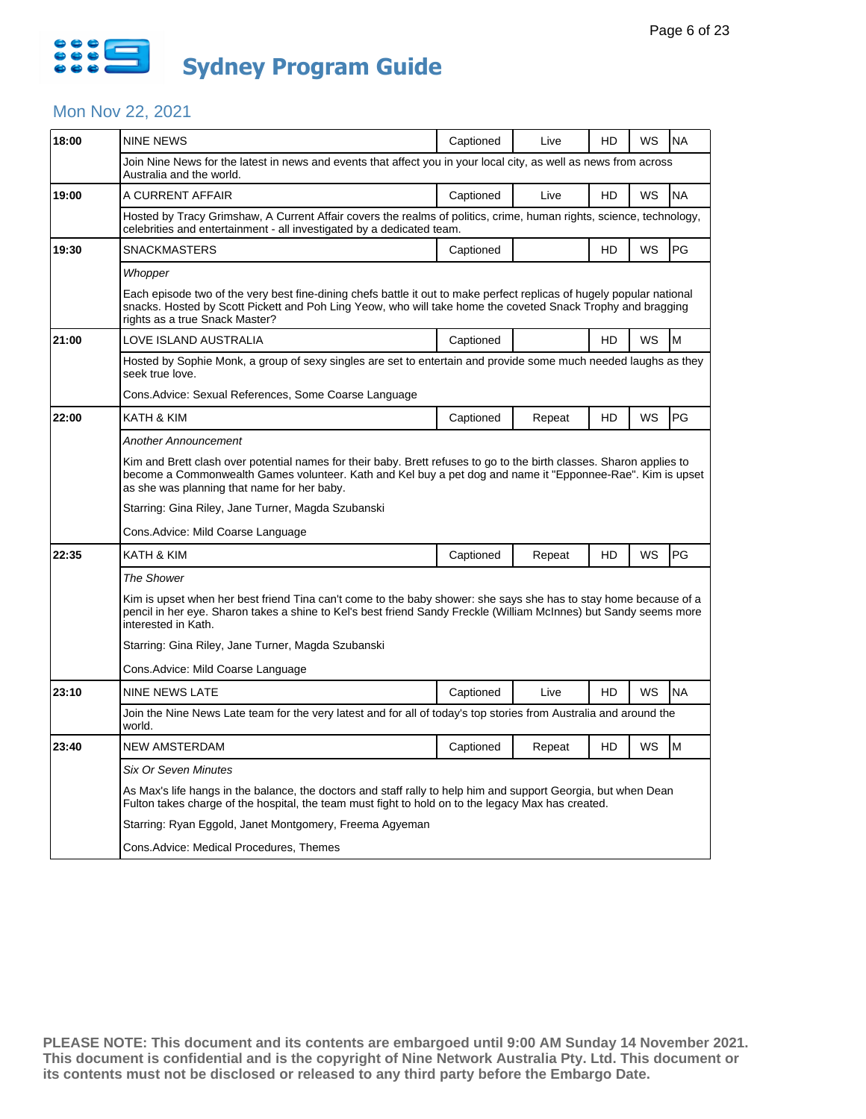

# Mon Nov 22, 2021

| 18:00 | <b>NINE NEWS</b>                                                                                                                                                                                                                                                                  | Captioned | Live   | HD | WS | <b>NA</b> |  |  |  |
|-------|-----------------------------------------------------------------------------------------------------------------------------------------------------------------------------------------------------------------------------------------------------------------------------------|-----------|--------|----|----|-----------|--|--|--|
|       | Join Nine News for the latest in news and events that affect you in your local city, as well as news from across<br>Australia and the world.                                                                                                                                      |           |        |    |    |           |  |  |  |
| 19:00 | A CURRENT AFFAIR                                                                                                                                                                                                                                                                  | Captioned | Live   | HD | WS | <b>NA</b> |  |  |  |
|       | Hosted by Tracy Grimshaw, A Current Affair covers the realms of politics, crime, human rights, science, technology,<br>celebrities and entertainment - all investigated by a dedicated team.                                                                                      |           |        |    |    |           |  |  |  |
| 19:30 | <b>SNACKMASTERS</b>                                                                                                                                                                                                                                                               | Captioned |        | HD | WS | PG        |  |  |  |
|       | Whopper                                                                                                                                                                                                                                                                           |           |        |    |    |           |  |  |  |
|       | Each episode two of the very best fine-dining chefs battle it out to make perfect replicas of hugely popular national<br>snacks. Hosted by Scott Pickett and Poh Ling Yeow, who will take home the coveted Snack Trophy and bragging<br>rights as a true Snack Master?            |           |        |    |    |           |  |  |  |
| 21:00 | LOVE ISLAND AUSTRALIA                                                                                                                                                                                                                                                             | Captioned |        | HD | WS | M         |  |  |  |
|       | Hosted by Sophie Monk, a group of sexy singles are set to entertain and provide some much needed laughs as they<br>seek true love.                                                                                                                                                |           |        |    |    |           |  |  |  |
|       | Cons.Advice: Sexual References, Some Coarse Language                                                                                                                                                                                                                              |           |        |    |    |           |  |  |  |
| 22:00 | KATH & KIM                                                                                                                                                                                                                                                                        | Captioned | Repeat | HD | WS | <b>PG</b> |  |  |  |
|       | <b>Another Announcement</b>                                                                                                                                                                                                                                                       |           |        |    |    |           |  |  |  |
|       | Kim and Brett clash over potential names for their baby. Brett refuses to go to the birth classes. Sharon applies to<br>become a Commonwealth Games volunteer. Kath and Kel buy a pet dog and name it "Epponnee-Rae". Kim is upset<br>as she was planning that name for her baby. |           |        |    |    |           |  |  |  |
|       | Starring: Gina Riley, Jane Turner, Magda Szubanski                                                                                                                                                                                                                                |           |        |    |    |           |  |  |  |
|       | Cons.Advice: Mild Coarse Language                                                                                                                                                                                                                                                 |           |        |    |    |           |  |  |  |
| 22:35 | KATH & KIM                                                                                                                                                                                                                                                                        | Captioned | Repeat | HD | WS | PG        |  |  |  |
|       | The Shower                                                                                                                                                                                                                                                                        |           |        |    |    |           |  |  |  |
|       | Kim is upset when her best friend Tina can't come to the baby shower: she says she has to stay home because of a<br>pencil in her eye. Sharon takes a shine to Kel's best friend Sandy Freckle (William McInnes) but Sandy seems more<br>interested in Kath.                      |           |        |    |    |           |  |  |  |
|       | Starring: Gina Riley, Jane Turner, Magda Szubanski                                                                                                                                                                                                                                |           |        |    |    |           |  |  |  |
|       | Cons. Advice: Mild Coarse Language                                                                                                                                                                                                                                                |           |        |    |    |           |  |  |  |
| 23:10 | <b>NINE NEWS LATE</b>                                                                                                                                                                                                                                                             | Captioned | Live   | HD | WS | <b>NA</b> |  |  |  |
|       | Join the Nine News Late team for the very latest and for all of today's top stories from Australia and around the<br>world.                                                                                                                                                       |           |        |    |    |           |  |  |  |
| 23:40 | <b>NEW AMSTERDAM</b>                                                                                                                                                                                                                                                              | Captioned | Repeat | HD | WS | M         |  |  |  |
|       | <b>Six Or Seven Minutes</b>                                                                                                                                                                                                                                                       |           |        |    |    |           |  |  |  |
|       | As Max's life hangs in the balance, the doctors and staff rally to help him and support Georgia, but when Dean<br>Fulton takes charge of the hospital, the team must fight to hold on to the legacy Max has created.                                                              |           |        |    |    |           |  |  |  |
|       | Starring: Ryan Eggold, Janet Montgomery, Freema Agyeman                                                                                                                                                                                                                           |           |        |    |    |           |  |  |  |
|       |                                                                                                                                                                                                                                                                                   |           |        |    |    |           |  |  |  |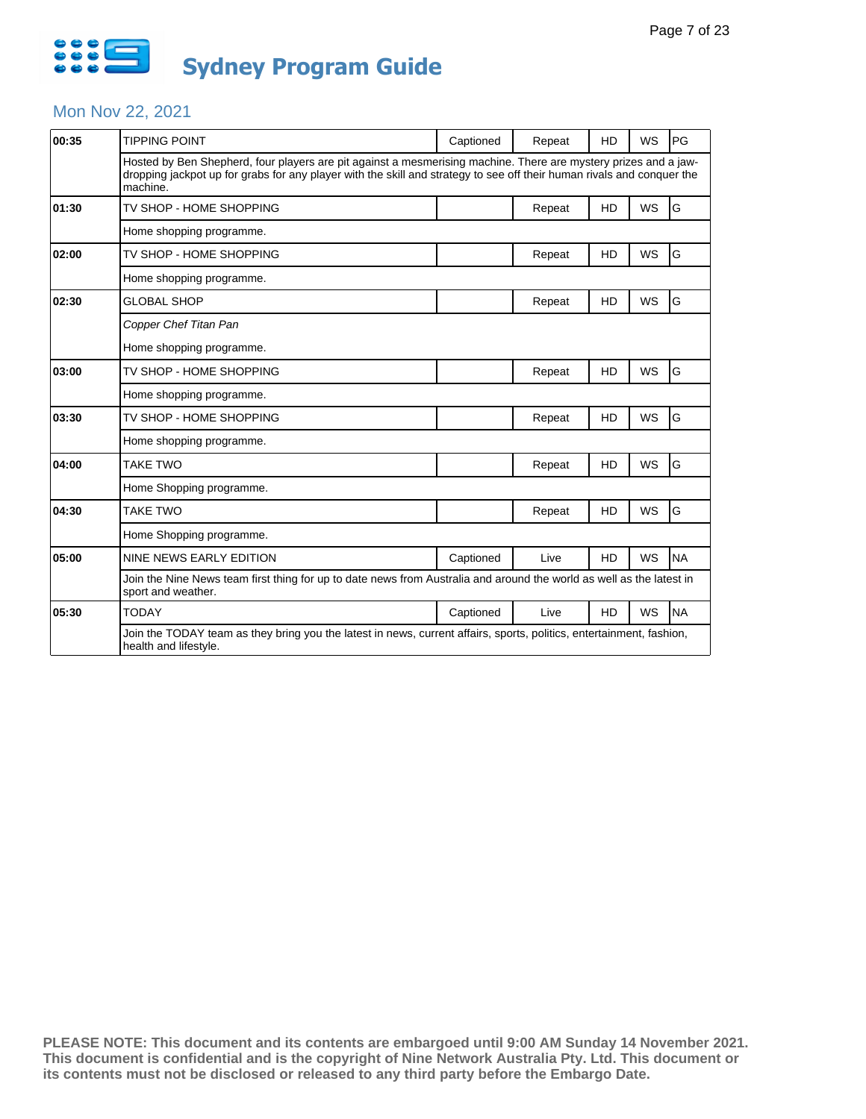

#### Mon Nov 22, 2021

| 00:35 | <b>TIPPING POINT</b>                                                                                                                                                                                                                                  | Captioned | Repeat | HD        | WS        | PG        |  |
|-------|-------------------------------------------------------------------------------------------------------------------------------------------------------------------------------------------------------------------------------------------------------|-----------|--------|-----------|-----------|-----------|--|
|       | Hosted by Ben Shepherd, four players are pit against a mesmerising machine. There are mystery prizes and a jaw-<br>dropping jackpot up for grabs for any player with the skill and strategy to see off their human rivals and conguer the<br>machine. |           |        |           |           |           |  |
| 01:30 | TV SHOP - HOME SHOPPING                                                                                                                                                                                                                               |           | Repeat | HD        | <b>WS</b> | G         |  |
|       | Home shopping programme.                                                                                                                                                                                                                              |           |        |           |           |           |  |
| 02:00 | TV SHOP - HOME SHOPPING                                                                                                                                                                                                                               |           | Repeat | HD        | <b>WS</b> | G         |  |
|       | Home shopping programme.                                                                                                                                                                                                                              |           |        |           |           |           |  |
| 02:30 | <b>GLOBAL SHOP</b>                                                                                                                                                                                                                                    |           | Repeat | HD        | <b>WS</b> | G         |  |
|       | Copper Chef Titan Pan                                                                                                                                                                                                                                 |           |        |           |           |           |  |
|       | Home shopping programme.                                                                                                                                                                                                                              |           |        |           |           |           |  |
| 03:00 | TV SHOP - HOME SHOPPING                                                                                                                                                                                                                               |           | Repeat | HD        | <b>WS</b> | G         |  |
|       | Home shopping programme.                                                                                                                                                                                                                              |           |        |           |           |           |  |
| 03:30 | TV SHOP - HOME SHOPPING                                                                                                                                                                                                                               |           | Repeat | HD        | WS        | G         |  |
|       | Home shopping programme.                                                                                                                                                                                                                              |           |        |           |           |           |  |
| 04:00 | TAKE TWO                                                                                                                                                                                                                                              |           | Repeat | HD        | <b>WS</b> | G         |  |
|       | Home Shopping programme.                                                                                                                                                                                                                              |           |        |           |           |           |  |
| 04:30 | <b>TAKE TWO</b>                                                                                                                                                                                                                                       |           | Repeat | HD        | WS        | G         |  |
|       | Home Shopping programme.                                                                                                                                                                                                                              |           |        |           |           |           |  |
| 05:00 | NINE NEWS EARLY EDITION                                                                                                                                                                                                                               | Captioned | Live   | HD        | <b>WS</b> | <b>NA</b> |  |
|       | Join the Nine News team first thing for up to date news from Australia and around the world as well as the latest in<br>sport and weather.                                                                                                            |           |        |           |           |           |  |
| 05:30 | <b>TODAY</b>                                                                                                                                                                                                                                          | Captioned | Live   | <b>HD</b> | <b>WS</b> | <b>NA</b> |  |
|       | Join the TODAY team as they bring you the latest in news, current affairs, sports, politics, entertainment, fashion,<br>health and lifestyle.                                                                                                         |           |        |           |           |           |  |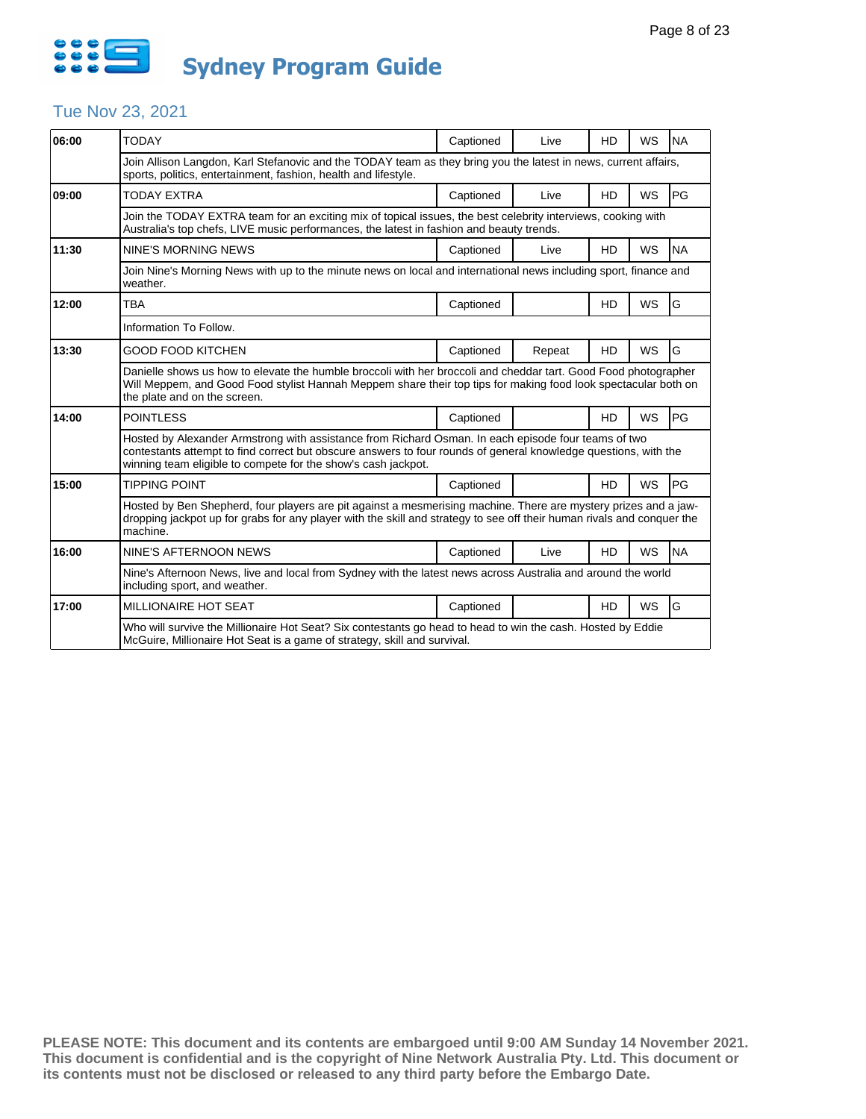

## Tue Nov 23, 2021

| 06:00 | <b>TODAY</b>                                                                                                                                                                                                                                                                            | Captioned | Live   | HD        | WS        | <b>NA</b> |  |  |
|-------|-----------------------------------------------------------------------------------------------------------------------------------------------------------------------------------------------------------------------------------------------------------------------------------------|-----------|--------|-----------|-----------|-----------|--|--|
|       | Join Allison Langdon, Karl Stefanovic and the TODAY team as they bring you the latest in news, current affairs,<br>sports, politics, entertainment, fashion, health and lifestyle.                                                                                                      |           |        |           |           |           |  |  |
| 09:00 | TODAY EXTRA                                                                                                                                                                                                                                                                             | Captioned | Live   | <b>HD</b> | <b>WS</b> | PG        |  |  |
|       | Join the TODAY EXTRA team for an exciting mix of topical issues, the best celebrity interviews, cooking with<br>Australia's top chefs, LIVE music performances, the latest in fashion and beauty trends.                                                                                |           |        |           |           |           |  |  |
| 11:30 | NINE'S MORNING NEWS                                                                                                                                                                                                                                                                     | Captioned | Live   | HD        | <b>WS</b> | <b>NA</b> |  |  |
|       | Join Nine's Morning News with up to the minute news on local and international news including sport, finance and<br>weather.                                                                                                                                                            |           |        |           |           |           |  |  |
| 12:00 | <b>TBA</b>                                                                                                                                                                                                                                                                              | Captioned |        | HD        | WS        | G         |  |  |
|       | Information To Follow.                                                                                                                                                                                                                                                                  |           |        |           |           |           |  |  |
| 13:30 | <b>GOOD FOOD KITCHEN</b>                                                                                                                                                                                                                                                                | Captioned | Repeat | <b>HD</b> | <b>WS</b> | G         |  |  |
|       | Danielle shows us how to elevate the humble broccoli with her broccoli and cheddar tart. Good Food photographer<br>Will Meppem, and Good Food stylist Hannah Meppem share their top tips for making food look spectacular both on<br>the plate and on the screen.                       |           |        |           |           |           |  |  |
| 14:00 | <b>POINTLESS</b>                                                                                                                                                                                                                                                                        | Captioned |        | <b>HD</b> | <b>WS</b> | PG        |  |  |
|       | Hosted by Alexander Armstrong with assistance from Richard Osman. In each episode four teams of two<br>contestants attempt to find correct but obscure answers to four rounds of general knowledge questions, with the<br>winning team eligible to compete for the show's cash jackpot. |           |        |           |           |           |  |  |
| 15:00 | <b>TIPPING POINT</b>                                                                                                                                                                                                                                                                    | Captioned |        | <b>HD</b> | WS        | <b>PG</b> |  |  |
|       | Hosted by Ben Shepherd, four players are pit against a mesmerising machine. There are mystery prizes and a jaw-<br>dropping jackpot up for grabs for any player with the skill and strategy to see off their human rivals and conquer the<br>machine.                                   |           |        |           |           |           |  |  |
| 16:00 | NINE'S AFTERNOON NEWS                                                                                                                                                                                                                                                                   | Captioned | Live   | <b>HD</b> | <b>WS</b> | <b>NA</b> |  |  |
|       | Nine's Afternoon News, live and local from Sydney with the latest news across Australia and around the world<br>including sport, and weather.                                                                                                                                           |           |        |           |           |           |  |  |
| 17:00 | MILLIONAIRE HOT SEAT                                                                                                                                                                                                                                                                    | Captioned |        | <b>HD</b> | WS        | G         |  |  |
|       | Who will survive the Millionaire Hot Seat? Six contestants go head to head to win the cash. Hosted by Eddie<br>McGuire, Millionaire Hot Seat is a game of strategy, skill and survival.                                                                                                 |           |        |           |           |           |  |  |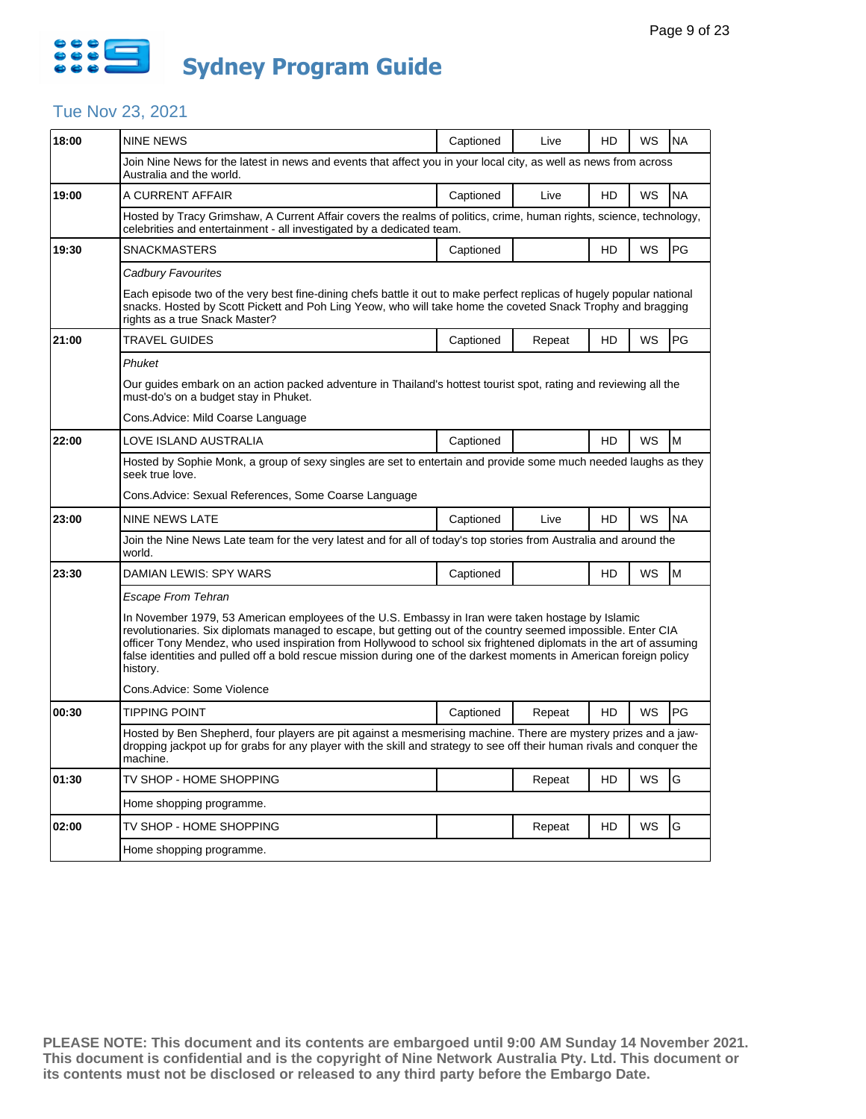

## Tue Nov 23, 2021

| 18:00 | NINE NEWS                                                                                                                                                                                                                                                                                                                                                                                                                                                                  | Captioned                                                                                                                                                                                    | Live   | HD | WS | <b>NA</b> |  |  |  |
|-------|----------------------------------------------------------------------------------------------------------------------------------------------------------------------------------------------------------------------------------------------------------------------------------------------------------------------------------------------------------------------------------------------------------------------------------------------------------------------------|----------------------------------------------------------------------------------------------------------------------------------------------------------------------------------------------|--------|----|----|-----------|--|--|--|
|       | Join Nine News for the latest in news and events that affect you in your local city, as well as news from across<br>Australia and the world.                                                                                                                                                                                                                                                                                                                               |                                                                                                                                                                                              |        |    |    |           |  |  |  |
| 19:00 | A CURRENT AFFAIR                                                                                                                                                                                                                                                                                                                                                                                                                                                           | Captioned                                                                                                                                                                                    | Live   | HD | WS | <b>NA</b> |  |  |  |
|       |                                                                                                                                                                                                                                                                                                                                                                                                                                                                            | Hosted by Tracy Grimshaw, A Current Affair covers the realms of politics, crime, human rights, science, technology,<br>celebrities and entertainment - all investigated by a dedicated team. |        |    |    |           |  |  |  |
| 19:30 | <b>SNACKMASTERS</b>                                                                                                                                                                                                                                                                                                                                                                                                                                                        | Captioned                                                                                                                                                                                    |        | HD | WS | PG        |  |  |  |
|       | Cadbury Favourites                                                                                                                                                                                                                                                                                                                                                                                                                                                         |                                                                                                                                                                                              |        |    |    |           |  |  |  |
|       | Each episode two of the very best fine-dining chefs battle it out to make perfect replicas of hugely popular national<br>snacks. Hosted by Scott Pickett and Poh Ling Yeow, who will take home the coveted Snack Trophy and bragging<br>rights as a true Snack Master?                                                                                                                                                                                                     |                                                                                                                                                                                              |        |    |    |           |  |  |  |
| 21:00 | <b>TRAVEL GUIDES</b>                                                                                                                                                                                                                                                                                                                                                                                                                                                       | Captioned                                                                                                                                                                                    | Repeat | HD | WS | PG        |  |  |  |
|       | Phuket                                                                                                                                                                                                                                                                                                                                                                                                                                                                     |                                                                                                                                                                                              |        |    |    |           |  |  |  |
|       | Our guides embark on an action packed adventure in Thailand's hottest tourist spot, rating and reviewing all the<br>must-do's on a budget stay in Phuket.                                                                                                                                                                                                                                                                                                                  |                                                                                                                                                                                              |        |    |    |           |  |  |  |
|       | Cons.Advice: Mild Coarse Language                                                                                                                                                                                                                                                                                                                                                                                                                                          |                                                                                                                                                                                              |        |    |    |           |  |  |  |
| 22:00 | LOVE ISLAND AUSTRALIA                                                                                                                                                                                                                                                                                                                                                                                                                                                      | Captioned                                                                                                                                                                                    |        | HD | WS | M         |  |  |  |
|       | seek true love.                                                                                                                                                                                                                                                                                                                                                                                                                                                            | Hosted by Sophie Monk, a group of sexy singles are set to entertain and provide some much needed laughs as they                                                                              |        |    |    |           |  |  |  |
|       | Cons.Advice: Sexual References, Some Coarse Language                                                                                                                                                                                                                                                                                                                                                                                                                       |                                                                                                                                                                                              |        |    |    |           |  |  |  |
| 23:00 | NINE NEWS LATE                                                                                                                                                                                                                                                                                                                                                                                                                                                             | Captioned                                                                                                                                                                                    | Live   | HD | WS | <b>NA</b> |  |  |  |
|       | Join the Nine News Late team for the very latest and for all of today's top stories from Australia and around the<br>world.                                                                                                                                                                                                                                                                                                                                                |                                                                                                                                                                                              |        |    |    |           |  |  |  |
| 23:30 | DAMIAN LEWIS: SPY WARS                                                                                                                                                                                                                                                                                                                                                                                                                                                     | Captioned                                                                                                                                                                                    |        | HD | WS | M         |  |  |  |
|       | Escape From Tehran                                                                                                                                                                                                                                                                                                                                                                                                                                                         |                                                                                                                                                                                              |        |    |    |           |  |  |  |
|       | In November 1979, 53 American employees of the U.S. Embassy in Iran were taken hostage by Islamic<br>revolutionaries. Six diplomats managed to escape, but getting out of the country seemed impossible. Enter CIA<br>officer Tony Mendez, who used inspiration from Hollywood to school six frightened diplomats in the art of assuming<br>false identities and pulled off a bold rescue mission during one of the darkest moments in American foreign policy<br>history. |                                                                                                                                                                                              |        |    |    |           |  |  |  |
|       | Cons.Advice: Some Violence                                                                                                                                                                                                                                                                                                                                                                                                                                                 |                                                                                                                                                                                              |        |    |    |           |  |  |  |
| 00:30 |                                                                                                                                                                                                                                                                                                                                                                                                                                                                            |                                                                                                                                                                                              |        |    |    |           |  |  |  |
|       | <b>TIPPING POINT</b>                                                                                                                                                                                                                                                                                                                                                                                                                                                       | Captioned                                                                                                                                                                                    | Repeat | HD | WS | PG        |  |  |  |
|       | Hosted by Ben Shepherd, four players are pit against a mesmerising machine. There are mystery prizes and a jaw-<br>dropping jackpot up for grabs for any player with the skill and strategy to see off their human rivals and conquer the<br>machine.                                                                                                                                                                                                                      |                                                                                                                                                                                              |        |    |    |           |  |  |  |
| 01:30 | TV SHOP - HOME SHOPPING                                                                                                                                                                                                                                                                                                                                                                                                                                                    |                                                                                                                                                                                              | Repeat | HD | WS | G         |  |  |  |
|       | Home shopping programme.                                                                                                                                                                                                                                                                                                                                                                                                                                                   |                                                                                                                                                                                              |        |    |    |           |  |  |  |
| 02:00 | TV SHOP - HOME SHOPPING                                                                                                                                                                                                                                                                                                                                                                                                                                                    |                                                                                                                                                                                              | Repeat | HD | WS | G         |  |  |  |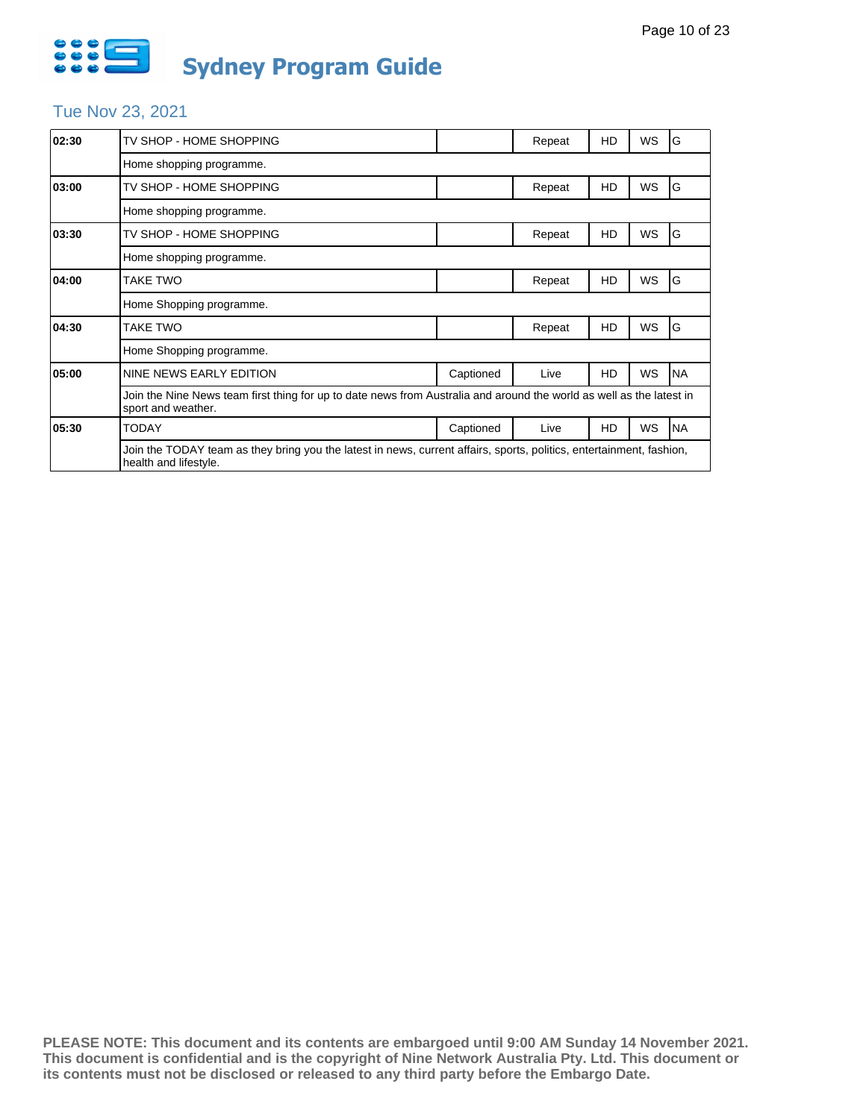

# Tue Nov 23, 2021

| 02:30 | TV SHOP - HOME SHOPPING                                                                                                                       |           | Repeat | HD | WS        | G         |  |
|-------|-----------------------------------------------------------------------------------------------------------------------------------------------|-----------|--------|----|-----------|-----------|--|
|       | Home shopping programme.                                                                                                                      |           |        |    |           |           |  |
| 03:00 | TV SHOP - HOME SHOPPING                                                                                                                       |           | Repeat | HD | WS        | G         |  |
|       | Home shopping programme.                                                                                                                      |           |        |    |           |           |  |
| 03:30 | TV SHOP - HOME SHOPPING                                                                                                                       |           | Repeat | HD | WS        | G         |  |
|       | Home shopping programme.                                                                                                                      |           |        |    |           |           |  |
| 04:00 | TAKE TWO                                                                                                                                      |           | Repeat | HD | WS        | G         |  |
|       | Home Shopping programme.                                                                                                                      |           |        |    |           |           |  |
| 04:30 | TAKE TWO                                                                                                                                      |           | Repeat | HD | WS        | G         |  |
|       | Home Shopping programme.                                                                                                                      |           |        |    |           |           |  |
| 05:00 | NINE NEWS EARLY EDITION                                                                                                                       | Captioned | Live   | HD | <b>WS</b> | <b>NA</b> |  |
|       | Join the Nine News team first thing for up to date news from Australia and around the world as well as the latest in<br>sport and weather.    |           |        |    |           |           |  |
| 05:30 | <b>TODAY</b>                                                                                                                                  | Captioned | Live   | HD | WS        | <b>NA</b> |  |
|       | Join the TODAY team as they bring you the latest in news, current affairs, sports, politics, entertainment, fashion,<br>health and lifestyle. |           |        |    |           |           |  |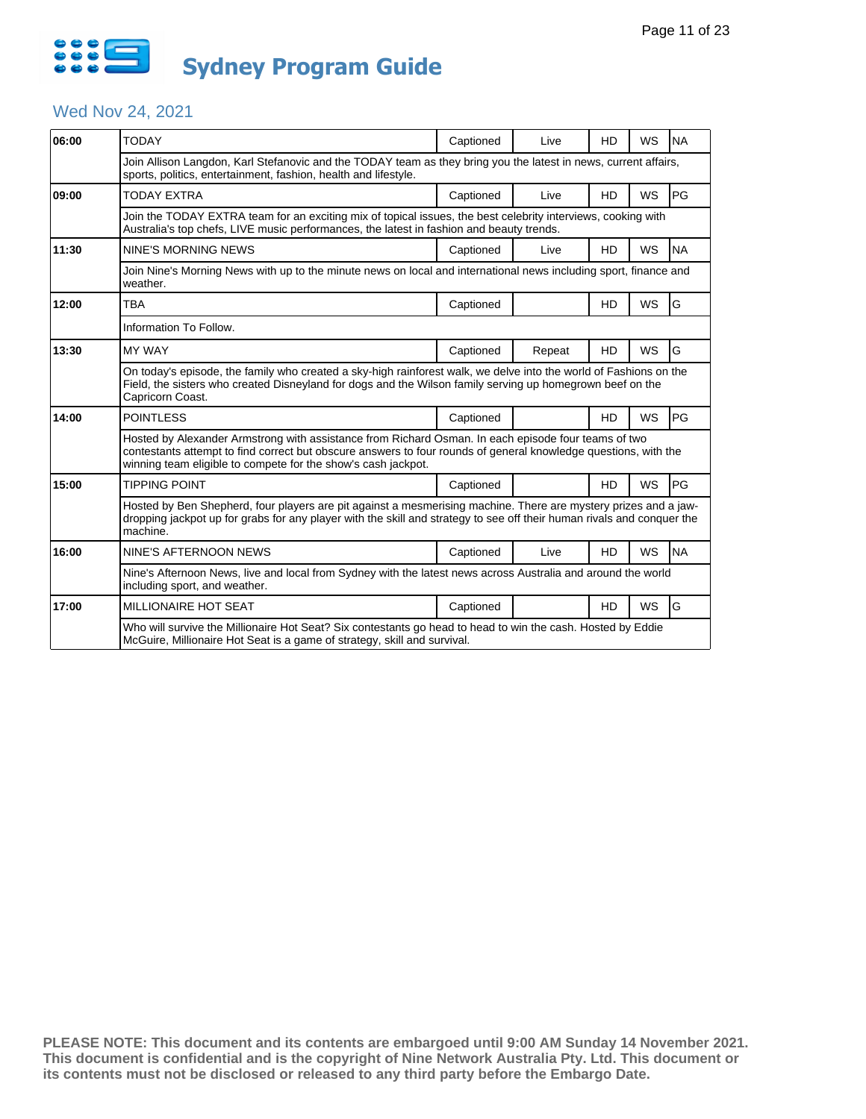

# Wed Nov 24, 2021

| 06:00 | <b>TODAY</b>                                                                                                                                                                                                                                                                            | Captioned | Live   | HD        | WS        | <b>NA</b> |  |  |
|-------|-----------------------------------------------------------------------------------------------------------------------------------------------------------------------------------------------------------------------------------------------------------------------------------------|-----------|--------|-----------|-----------|-----------|--|--|
|       | Join Allison Langdon, Karl Stefanovic and the TODAY team as they bring you the latest in news, current affairs,<br>sports, politics, entertainment, fashion, health and lifestyle.                                                                                                      |           |        |           |           |           |  |  |
| 09:00 | TODAY EXTRA                                                                                                                                                                                                                                                                             | Captioned | Live   | <b>HD</b> | <b>WS</b> | PG        |  |  |
|       | Join the TODAY EXTRA team for an exciting mix of topical issues, the best celebrity interviews, cooking with<br>Australia's top chefs, LIVE music performances, the latest in fashion and beauty trends.                                                                                |           |        |           |           |           |  |  |
| 11:30 | <b>NINE'S MORNING NEWS</b>                                                                                                                                                                                                                                                              | Captioned | Live   | HD        | <b>WS</b> | <b>NA</b> |  |  |
|       | Join Nine's Morning News with up to the minute news on local and international news including sport, finance and<br>weather.                                                                                                                                                            |           |        |           |           |           |  |  |
| 12:00 | TBA                                                                                                                                                                                                                                                                                     | Captioned |        | HD        | <b>WS</b> | G         |  |  |
|       | Information To Follow.                                                                                                                                                                                                                                                                  |           |        |           |           |           |  |  |
| 13:30 | <b>MY WAY</b>                                                                                                                                                                                                                                                                           | Captioned | Repeat | HD        | <b>WS</b> | G         |  |  |
|       | On today's episode, the family who created a sky-high rainforest walk, we delve into the world of Fashions on the<br>Field, the sisters who created Disneyland for dogs and the Wilson family serving up homegrown beef on the<br>Capricorn Coast.                                      |           |        |           |           |           |  |  |
| 14:00 | <b>POINTLESS</b>                                                                                                                                                                                                                                                                        | Captioned |        | HD        | <b>WS</b> | PG        |  |  |
|       | Hosted by Alexander Armstrong with assistance from Richard Osman. In each episode four teams of two<br>contestants attempt to find correct but obscure answers to four rounds of general knowledge questions, with the<br>winning team eligible to compete for the show's cash jackpot. |           |        |           |           |           |  |  |
| 15:00 | <b>TIPPING POINT</b>                                                                                                                                                                                                                                                                    | Captioned |        | <b>HD</b> | WS        | PG        |  |  |
|       | Hosted by Ben Shepherd, four players are pit against a mesmerising machine. There are mystery prizes and a jaw-<br>dropping jackpot up for grabs for any player with the skill and strategy to see off their human rivals and conquer the<br>machine.                                   |           |        |           |           |           |  |  |
| 16:00 | NINE'S AFTERNOON NEWS                                                                                                                                                                                                                                                                   | Captioned | Live   | <b>HD</b> | <b>WS</b> | <b>NA</b> |  |  |
|       | Nine's Afternoon News, live and local from Sydney with the latest news across Australia and around the world<br>including sport, and weather.                                                                                                                                           |           |        |           |           |           |  |  |
| 17:00 | MILLIONAIRE HOT SEAT                                                                                                                                                                                                                                                                    | Captioned |        | <b>HD</b> | WS        | G         |  |  |
|       | Who will survive the Millionaire Hot Seat? Six contestants go head to head to win the cash. Hosted by Eddie<br>McGuire, Millionaire Hot Seat is a game of strategy, skill and survival.                                                                                                 |           |        |           |           |           |  |  |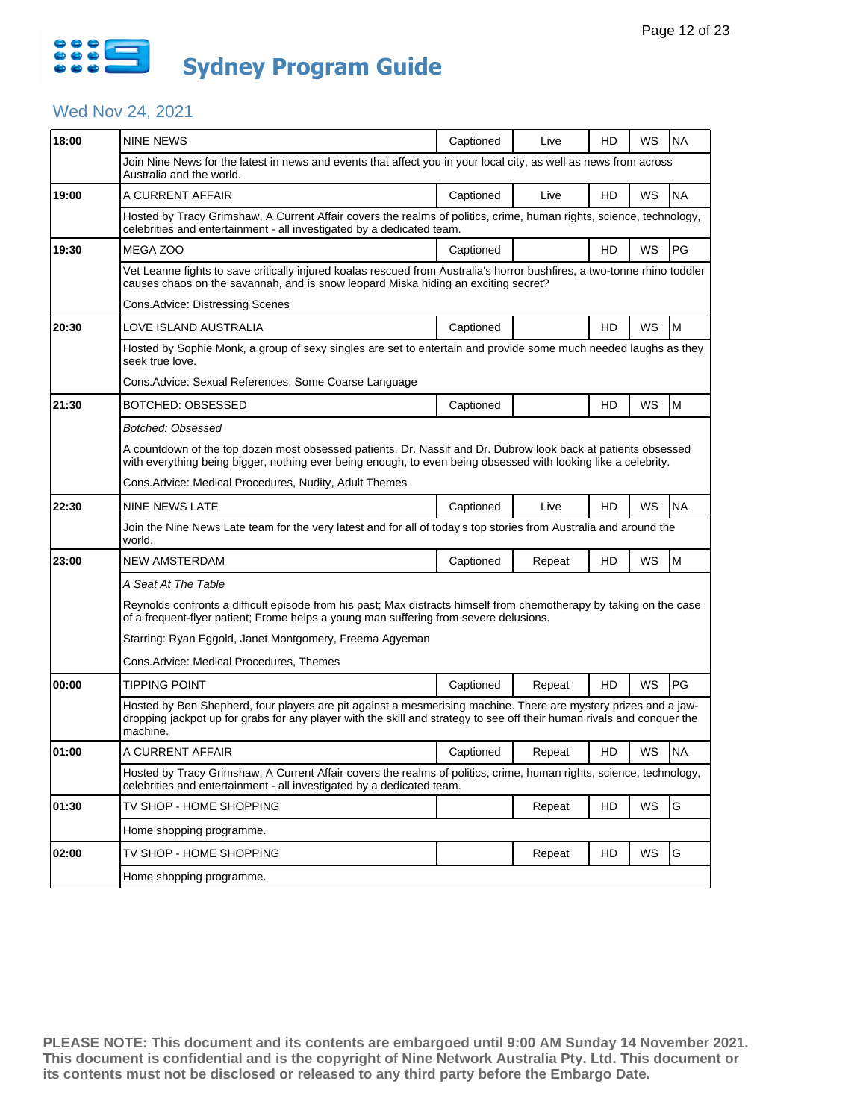

### Wed Nov 24, 2021

| 18:00 | <b>NINE NEWS</b>                                                                                                                                                                                                                                      | Captioned                                                                                                                                                                                                    | Live   | HD | WS | <b>NA</b> |  |  |
|-------|-------------------------------------------------------------------------------------------------------------------------------------------------------------------------------------------------------------------------------------------------------|--------------------------------------------------------------------------------------------------------------------------------------------------------------------------------------------------------------|--------|----|----|-----------|--|--|
|       | Join Nine News for the latest in news and events that affect you in your local city, as well as news from across<br>Australia and the world.                                                                                                          |                                                                                                                                                                                                              |        |    |    |           |  |  |
| 19:00 | A CURRENT AFFAIR                                                                                                                                                                                                                                      | Captioned                                                                                                                                                                                                    | Live   | HD | WS | <b>NA</b> |  |  |
|       | Hosted by Tracy Grimshaw, A Current Affair covers the realms of politics, crime, human rights, science, technology,<br>celebrities and entertainment - all investigated by a dedicated team.                                                          |                                                                                                                                                                                                              |        |    |    |           |  |  |
| 19:30 | MEGA ZOO                                                                                                                                                                                                                                              | Captioned                                                                                                                                                                                                    |        | HD | WS | PG        |  |  |
|       | Vet Leanne fights to save critically injured koalas rescued from Australia's horror bushfires, a two-tonne rhino toddler<br>causes chaos on the savannah, and is snow leopard Miska hiding an exciting secret?                                        |                                                                                                                                                                                                              |        |    |    |           |  |  |
|       | Cons.Advice: Distressing Scenes                                                                                                                                                                                                                       |                                                                                                                                                                                                              |        |    |    |           |  |  |
| 20:30 | LOVE ISLAND AUSTRALIA                                                                                                                                                                                                                                 | Captioned                                                                                                                                                                                                    |        | HD | WS | M         |  |  |
|       | Hosted by Sophie Monk, a group of sexy singles are set to entertain and provide some much needed laughs as they<br>seek true love.                                                                                                                    |                                                                                                                                                                                                              |        |    |    |           |  |  |
|       | Cons. Advice: Sexual References, Some Coarse Language                                                                                                                                                                                                 |                                                                                                                                                                                                              |        |    |    |           |  |  |
| 21:30 | <b>BOTCHED: OBSESSED</b>                                                                                                                                                                                                                              | Captioned                                                                                                                                                                                                    |        | HD | WS | M         |  |  |
|       | Botched: Obsessed                                                                                                                                                                                                                                     |                                                                                                                                                                                                              |        |    |    |           |  |  |
|       | A countdown of the top dozen most obsessed patients. Dr. Nassif and Dr. Dubrow look back at patients obsessed<br>with everything being bigger, nothing ever being enough, to even being obsessed with looking like a celebrity.                       |                                                                                                                                                                                                              |        |    |    |           |  |  |
|       | Cons.Advice: Medical Procedures, Nudity, Adult Themes                                                                                                                                                                                                 |                                                                                                                                                                                                              |        |    |    |           |  |  |
| 22:30 | <b>NINE NEWS LATE</b>                                                                                                                                                                                                                                 | Captioned                                                                                                                                                                                                    | Live   | HD | WS | <b>NA</b> |  |  |
|       | Join the Nine News Late team for the very latest and for all of today's top stories from Australia and around the<br>world.                                                                                                                           |                                                                                                                                                                                                              |        |    |    |           |  |  |
| 23:00 | NEW AMSTERDAM                                                                                                                                                                                                                                         | Captioned                                                                                                                                                                                                    | Repeat | HD | WS | M         |  |  |
|       | A Seat At The Table                                                                                                                                                                                                                                   |                                                                                                                                                                                                              |        |    |    |           |  |  |
|       |                                                                                                                                                                                                                                                       | Reynolds confronts a difficult episode from his past; Max distracts himself from chemotherapy by taking on the case<br>of a frequent-flyer patient; Frome helps a young man suffering from severe delusions. |        |    |    |           |  |  |
|       | Starring: Ryan Eggold, Janet Montgomery, Freema Agyeman                                                                                                                                                                                               |                                                                                                                                                                                                              |        |    |    |           |  |  |
|       | Cons.Advice: Medical Procedures, Themes                                                                                                                                                                                                               |                                                                                                                                                                                                              |        |    |    |           |  |  |
| 00:00 | TIPPING POINT                                                                                                                                                                                                                                         | Captioned                                                                                                                                                                                                    | Repeat | HD | WS | PG        |  |  |
|       | Hosted by Ben Shepherd, four players are pit against a mesmerising machine. There are mystery prizes and a jaw-<br>dropping jackpot up for grabs for any player with the skill and strategy to see off their human rivals and conguer the<br>machine. |                                                                                                                                                                                                              |        |    |    |           |  |  |
| 01:00 | A CURRENT AFFAIR                                                                                                                                                                                                                                      | Captioned                                                                                                                                                                                                    | Repeat | HD | WS | <b>NA</b> |  |  |
|       | Hosted by Tracy Grimshaw, A Current Affair covers the realms of politics, crime, human rights, science, technology,<br>celebrities and entertainment - all investigated by a dedicated team.                                                          |                                                                                                                                                                                                              |        |    |    |           |  |  |
| 01:30 | TV SHOP - HOME SHOPPING                                                                                                                                                                                                                               |                                                                                                                                                                                                              | Repeat | HD | WS | G         |  |  |
|       | Home shopping programme.                                                                                                                                                                                                                              |                                                                                                                                                                                                              |        |    |    |           |  |  |
| 02:00 | TV SHOP - HOME SHOPPING                                                                                                                                                                                                                               |                                                                                                                                                                                                              | Repeat | HD | WS | G         |  |  |
|       | Home shopping programme.                                                                                                                                                                                                                              |                                                                                                                                                                                                              |        |    |    |           |  |  |
|       |                                                                                                                                                                                                                                                       |                                                                                                                                                                                                              |        |    |    |           |  |  |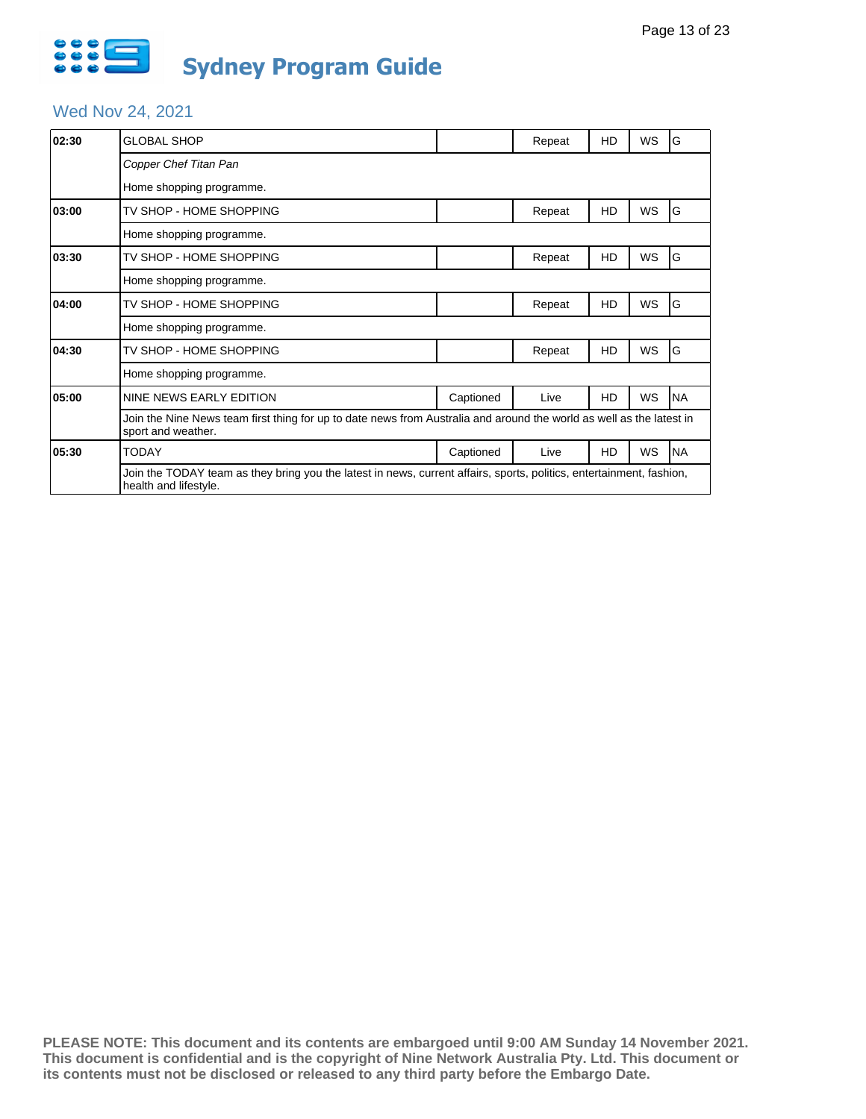

# Wed Nov 24, 2021

| 02:30 | GLOBAL SHOP                                                                                                                                   |           | Repeat | HD | WS | G         |
|-------|-----------------------------------------------------------------------------------------------------------------------------------------------|-----------|--------|----|----|-----------|
|       | Copper Chef Titan Pan                                                                                                                         |           |        |    |    |           |
|       | Home shopping programme.                                                                                                                      |           |        |    |    |           |
| 03:00 | TV SHOP - HOME SHOPPING                                                                                                                       |           | Repeat | HD | WS | G         |
|       | Home shopping programme.                                                                                                                      |           |        |    |    |           |
| 03:30 | TV SHOP - HOME SHOPPING                                                                                                                       |           | Repeat | HD | WS | G         |
|       | Home shopping programme.                                                                                                                      |           |        |    |    |           |
| 04:00 | TV SHOP - HOME SHOPPING                                                                                                                       |           | Repeat | HD | WS | G         |
|       | Home shopping programme.                                                                                                                      |           |        |    |    |           |
| 04:30 | TV SHOP - HOME SHOPPING                                                                                                                       |           | Repeat | HD | WS | G         |
|       | Home shopping programme.                                                                                                                      |           |        |    |    |           |
| 05:00 | NINE NEWS EARLY EDITION                                                                                                                       | Captioned | Live   | HD | WS | <b>NA</b> |
|       | Join the Nine News team first thing for up to date news from Australia and around the world as well as the latest in<br>sport and weather.    |           |        |    |    |           |
| 05:30 | TODAY                                                                                                                                         | Captioned | Live   | HD | WS | <b>NA</b> |
|       | Join the TODAY team as they bring you the latest in news, current affairs, sports, politics, entertainment, fashion,<br>health and lifestyle. |           |        |    |    |           |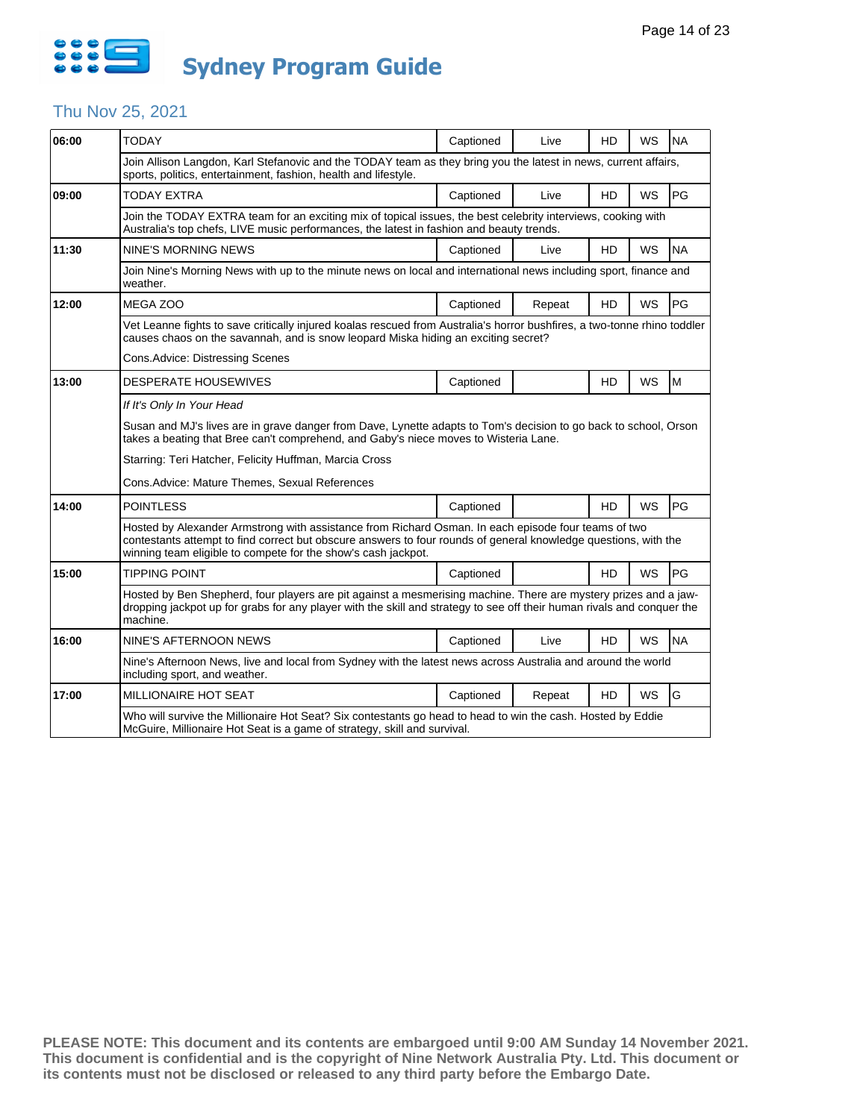

## Thu Nov 25, 2021

| 06:00 | <b>TODAY</b>                                                                                                                                                                                                                                                                            | Captioned | Live   | <b>HD</b> | <b>WS</b> | <b>NA</b> |  |  |
|-------|-----------------------------------------------------------------------------------------------------------------------------------------------------------------------------------------------------------------------------------------------------------------------------------------|-----------|--------|-----------|-----------|-----------|--|--|
|       | Join Allison Langdon, Karl Stefanovic and the TODAY team as they bring you the latest in news, current affairs,<br>sports, politics, entertainment, fashion, health and lifestyle.                                                                                                      |           |        |           |           |           |  |  |
| 09:00 | <b>TODAY EXTRA</b>                                                                                                                                                                                                                                                                      | Captioned | Live   | HD        | WS        | PG        |  |  |
|       | Join the TODAY EXTRA team for an exciting mix of topical issues, the best celebrity interviews, cooking with<br>Australia's top chefs, LIVE music performances, the latest in fashion and beauty trends.                                                                                |           |        |           |           |           |  |  |
| 11:30 | <b>NINE'S MORNING NEWS</b>                                                                                                                                                                                                                                                              | Captioned | Live   | HD        | WS        | <b>NA</b> |  |  |
|       | Join Nine's Morning News with up to the minute news on local and international news including sport, finance and<br>weather.                                                                                                                                                            |           |        |           |           |           |  |  |
| 12:00 | MEGA ZOO                                                                                                                                                                                                                                                                                | Captioned | Repeat | HD        | <b>WS</b> | PG        |  |  |
|       | Vet Leanne fights to save critically injured koalas rescued from Australia's horror bushfires, a two-tonne rhino toddler<br>causes chaos on the savannah, and is snow leopard Miska hiding an exciting secret?                                                                          |           |        |           |           |           |  |  |
|       | Cons.Advice: Distressing Scenes                                                                                                                                                                                                                                                         |           |        |           |           |           |  |  |
| 13:00 | DESPERATE HOUSEWIVES                                                                                                                                                                                                                                                                    | Captioned |        | <b>HD</b> | <b>WS</b> | M         |  |  |
|       | If It's Only In Your Head                                                                                                                                                                                                                                                               |           |        |           |           |           |  |  |
|       | Susan and MJ's lives are in grave danger from Dave, Lynette adapts to Tom's decision to go back to school, Orson<br>takes a beating that Bree can't comprehend, and Gaby's niece moves to Wisteria Lane.                                                                                |           |        |           |           |           |  |  |
|       | Starring: Teri Hatcher, Felicity Huffman, Marcia Cross                                                                                                                                                                                                                                  |           |        |           |           |           |  |  |
|       | Cons. Advice: Mature Themes, Sexual References                                                                                                                                                                                                                                          |           |        |           |           |           |  |  |
| 14:00 | <b>POINTLESS</b>                                                                                                                                                                                                                                                                        | Captioned |        | <b>HD</b> | WS        | PG        |  |  |
|       | Hosted by Alexander Armstrong with assistance from Richard Osman. In each episode four teams of two<br>contestants attempt to find correct but obscure answers to four rounds of general knowledge questions, with the<br>winning team eligible to compete for the show's cash jackpot. |           |        |           |           |           |  |  |
| 15:00 | <b>TIPPING POINT</b>                                                                                                                                                                                                                                                                    | Captioned |        | HD        | WS        | PG        |  |  |
|       | Hosted by Ben Shepherd, four players are pit against a mesmerising machine. There are mystery prizes and a jaw-<br>dropping jackpot up for grabs for any player with the skill and strategy to see off their human rivals and conquer the<br>machine.                                   |           |        |           |           |           |  |  |
| 16:00 | NINE'S AFTERNOON NEWS                                                                                                                                                                                                                                                                   | Captioned | Live   | HD        | WS        | <b>NA</b> |  |  |
|       | Nine's Afternoon News, live and local from Sydney with the latest news across Australia and around the world<br>including sport, and weather.                                                                                                                                           |           |        |           |           |           |  |  |
| 17:00 | <b>MILLIONAIRE HOT SEAT</b>                                                                                                                                                                                                                                                             | Captioned | Repeat | <b>HD</b> | <b>WS</b> | G         |  |  |
|       | Who will survive the Millionaire Hot Seat? Six contestants go head to head to win the cash. Hosted by Eddie<br>McGuire, Millionaire Hot Seat is a game of strategy, skill and survival.                                                                                                 |           |        |           |           |           |  |  |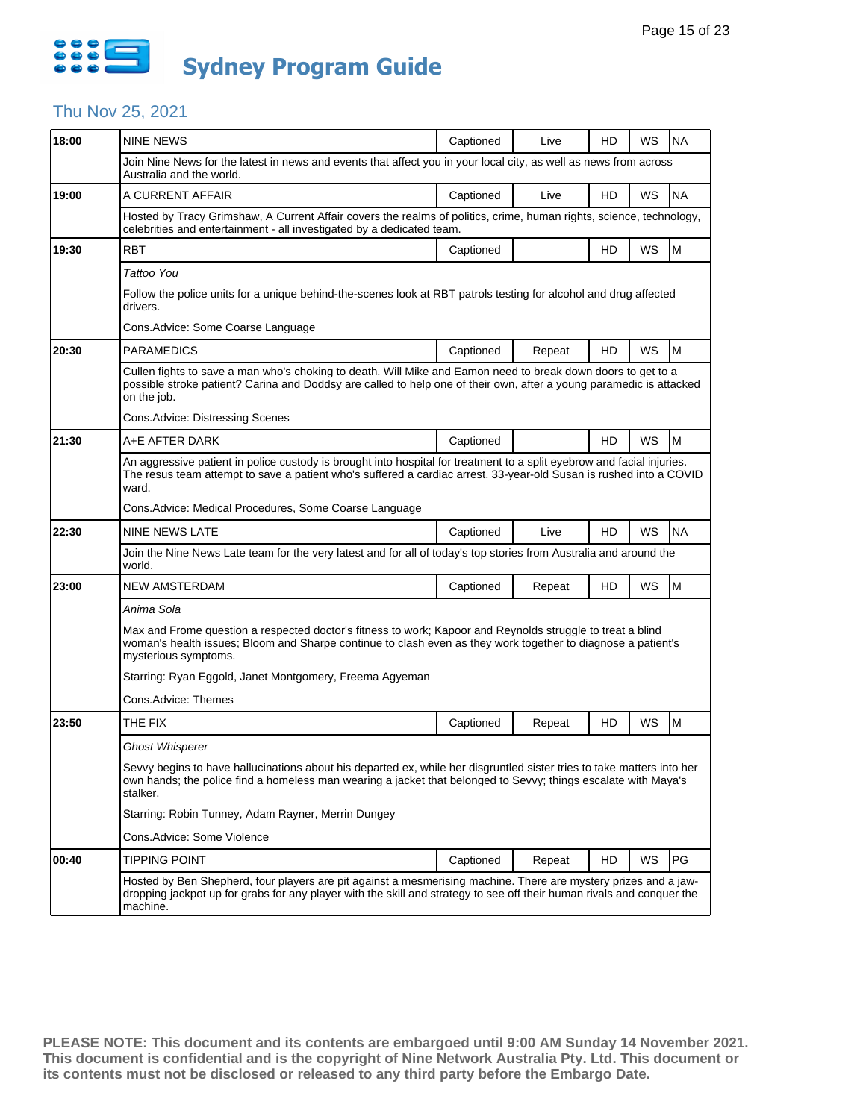

## Thu Nov 25, 2021

| 18:00 | <b>NINE NEWS</b>                                                                                                                                                                                                                                      | Captioned | Live   | HD | WS        | <b>NA</b> |
|-------|-------------------------------------------------------------------------------------------------------------------------------------------------------------------------------------------------------------------------------------------------------|-----------|--------|----|-----------|-----------|
|       | Join Nine News for the latest in news and events that affect you in your local city, as well as news from across<br>Australia and the world.                                                                                                          |           |        |    |           |           |
| 19:00 | A CURRENT AFFAIR                                                                                                                                                                                                                                      | Captioned | Live   | HD | WS        | <b>NA</b> |
|       | Hosted by Tracy Grimshaw, A Current Affair covers the realms of politics, crime, human rights, science, technology,<br>celebrities and entertainment - all investigated by a dedicated team.                                                          |           |        |    |           |           |
| 19:30 | <b>RBT</b>                                                                                                                                                                                                                                            | Captioned |        | HD | WS        | M         |
|       | Tattoo You                                                                                                                                                                                                                                            |           |        |    |           |           |
|       | Follow the police units for a unique behind-the-scenes look at RBT patrols testing for alcohol and drug affected<br>drivers.                                                                                                                          |           |        |    |           |           |
|       | Cons. Advice: Some Coarse Language                                                                                                                                                                                                                    |           |        |    |           |           |
| 20:30 | <b>PARAMEDICS</b>                                                                                                                                                                                                                                     | Captioned | Repeat | HD | WS        | M         |
|       | Cullen fights to save a man who's choking to death. Will Mike and Eamon need to break down doors to get to a<br>possible stroke patient? Carina and Doddsy are called to help one of their own, after a young paramedic is attacked<br>on the job.    |           |        |    |           |           |
|       | Cons.Advice: Distressing Scenes                                                                                                                                                                                                                       |           |        |    |           |           |
| 21:30 | A+E AFTER DARK                                                                                                                                                                                                                                        | Captioned |        | HD | WS        | M         |
|       | An aggressive patient in police custody is brought into hospital for treatment to a split eyebrow and facial injuries.<br>The resus team attempt to save a patient who's suffered a cardiac arrest. 33-year-old Susan is rushed into a COVID<br>ward. |           |        |    |           |           |
|       | Cons. Advice: Medical Procedures, Some Coarse Language                                                                                                                                                                                                |           |        |    |           |           |
| 22:30 | <b>NINE NEWS LATE</b>                                                                                                                                                                                                                                 | Captioned | Live   | HD | <b>WS</b> | <b>NA</b> |
|       | Join the Nine News Late team for the very latest and for all of today's top stories from Australia and around the<br>world.                                                                                                                           |           |        |    |           |           |
| 23:00 | <b>NEW AMSTERDAM</b>                                                                                                                                                                                                                                  | Captioned | Repeat | HD | WS        | M         |
|       | Anima Sola                                                                                                                                                                                                                                            |           |        |    |           |           |
|       | Max and Frome question a respected doctor's fitness to work; Kapoor and Reynolds struggle to treat a blind<br>woman's health issues; Bloom and Sharpe continue to clash even as they work together to diagnose a patient's<br>mysterious symptoms.    |           |        |    |           |           |
|       | Starring: Ryan Eggold, Janet Montgomery, Freema Agyeman                                                                                                                                                                                               |           |        |    |           |           |
|       | Cons.Advice: Themes                                                                                                                                                                                                                                   |           |        |    |           |           |
| 23:50 | THE FIX                                                                                                                                                                                                                                               | Captioned | Repeat | HD | WS        | M         |
|       | <b>Ghost Whisperer</b>                                                                                                                                                                                                                                |           |        |    |           |           |
|       | Sevvy begins to have hallucinations about his departed ex, while her disgruntled sister tries to take matters into her<br>own hands; the police find a homeless man wearing a jacket that belonged to Sevvy; things escalate with Maya's<br>stalker.  |           |        |    |           |           |
|       | Starring: Robin Tunney, Adam Rayner, Merrin Dungey                                                                                                                                                                                                    |           |        |    |           |           |
|       | Cons.Advice: Some Violence                                                                                                                                                                                                                            |           |        |    |           |           |
| 00:40 | <b>TIPPING POINT</b>                                                                                                                                                                                                                                  | Captioned | Repeat | HD | WS        | PG        |
|       | Hosted by Ben Shepherd, four players are pit against a mesmerising machine. There are mystery prizes and a jaw-<br>dropping jackpot up for grabs for any player with the skill and strategy to see off their human rivals and conquer the<br>machine. |           |        |    |           |           |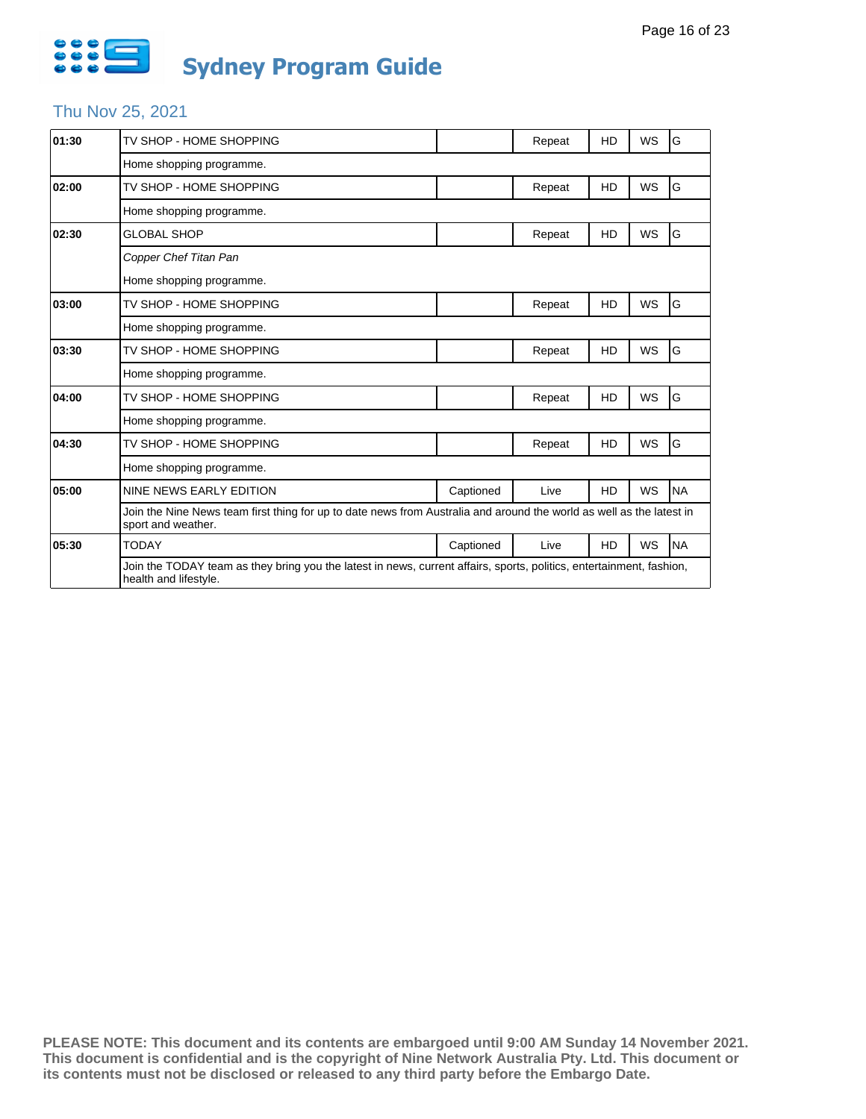

# Thu Nov 25, 2021

| 01:30 | TV SHOP - HOME SHOPPING                                                                                                                       |           | Repeat | HD        | <b>WS</b> | G         |
|-------|-----------------------------------------------------------------------------------------------------------------------------------------------|-----------|--------|-----------|-----------|-----------|
|       | Home shopping programme.                                                                                                                      |           |        |           |           |           |
| 02:00 | TV SHOP - HOME SHOPPING                                                                                                                       |           | Repeat | HD        | <b>WS</b> | G         |
|       | Home shopping programme.                                                                                                                      |           |        |           |           |           |
| 02:30 | <b>GLOBAL SHOP</b>                                                                                                                            |           | Repeat | HD        | WS        | G         |
|       | Copper Chef Titan Pan                                                                                                                         |           |        |           |           |           |
|       | Home shopping programme.                                                                                                                      |           |        |           |           |           |
| 03:00 | TV SHOP - HOME SHOPPING                                                                                                                       |           | Repeat | HD        | WS        | G         |
|       | Home shopping programme.                                                                                                                      |           |        |           |           |           |
| 03:30 | TV SHOP - HOME SHOPPING                                                                                                                       |           | Repeat | HD        | WS        | G         |
|       | Home shopping programme.                                                                                                                      |           |        |           |           |           |
| 04:00 | TV SHOP - HOME SHOPPING                                                                                                                       |           | Repeat | HD        | <b>WS</b> | G         |
|       | Home shopping programme.                                                                                                                      |           |        |           |           |           |
| 04:30 | TV SHOP - HOME SHOPPING                                                                                                                       |           | Repeat | HD        | <b>WS</b> | G         |
|       | Home shopping programme.                                                                                                                      |           |        |           |           |           |
| 05:00 | NINE NEWS EARLY EDITION                                                                                                                       | Captioned | Live   | HD        | WS        | <b>NA</b> |
|       | Join the Nine News team first thing for up to date news from Australia and around the world as well as the latest in<br>sport and weather.    |           |        |           |           |           |
| 05:30 | <b>TODAY</b>                                                                                                                                  | Captioned | Live   | <b>HD</b> | WS        | <b>NA</b> |
|       | Join the TODAY team as they bring you the latest in news, current affairs, sports, politics, entertainment, fashion,<br>health and lifestyle. |           |        |           |           |           |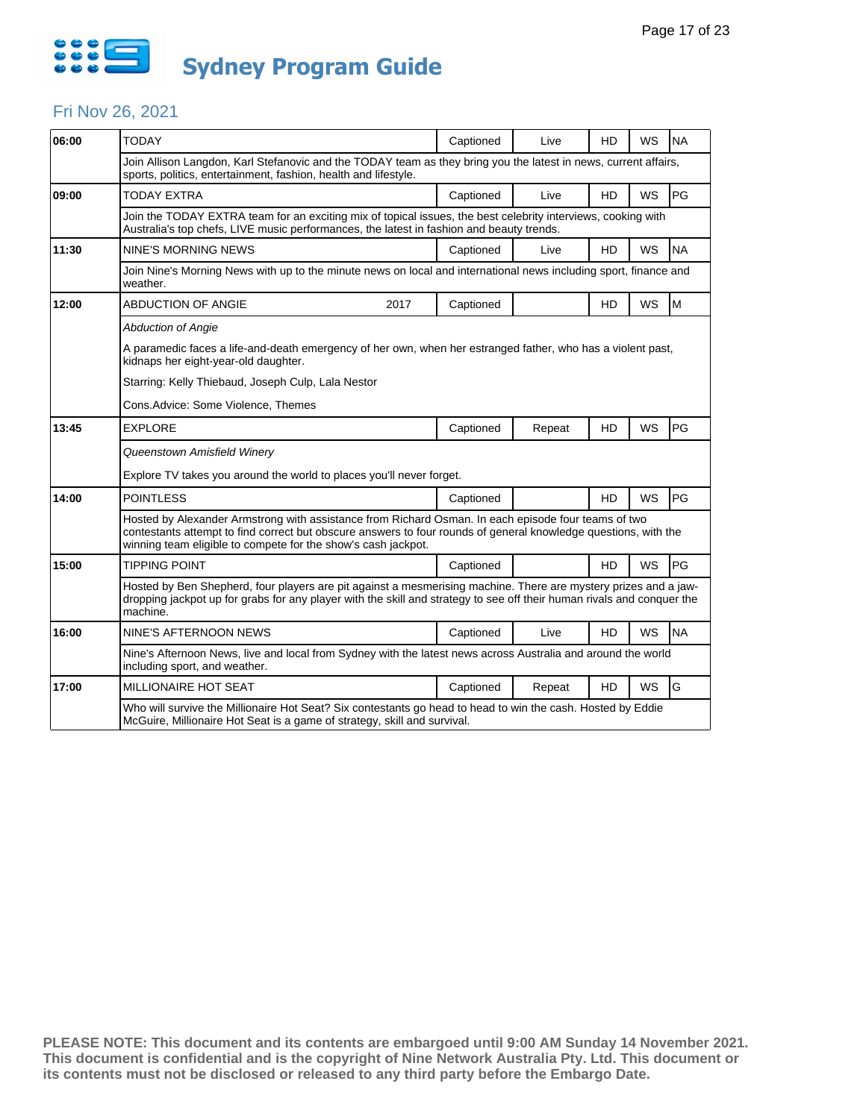

### Fri Nov 26, 2021

| 06:00 | <b>TODAY</b>                                                                                                                                                                                                                                                                            | Captioned | Live   | HD             | WS        | <b>NA</b> |
|-------|-----------------------------------------------------------------------------------------------------------------------------------------------------------------------------------------------------------------------------------------------------------------------------------------|-----------|--------|----------------|-----------|-----------|
|       | Join Allison Langdon, Karl Stefanovic and the TODAY team as they bring you the latest in news, current affairs,<br>sports, politics, entertainment, fashion, health and lifestyle.                                                                                                      |           |        |                |           |           |
| 09:00 | <b>TODAY EXTRA</b>                                                                                                                                                                                                                                                                      | Captioned | Live   | H <sub>D</sub> | <b>WS</b> | PG        |
|       | Join the TODAY EXTRA team for an exciting mix of topical issues, the best celebrity interviews, cooking with<br>Australia's top chefs, LIVE music performances, the latest in fashion and beauty trends.                                                                                |           |        |                |           |           |
| 11:30 | NINE'S MORNING NEWS                                                                                                                                                                                                                                                                     | Captioned | Live   | <b>HD</b>      | <b>WS</b> | <b>NA</b> |
|       | Join Nine's Morning News with up to the minute news on local and international news including sport, finance and<br>weather.                                                                                                                                                            |           |        |                |           |           |
| 12:00 | <b>ABDUCTION OF ANGIE</b><br>2017                                                                                                                                                                                                                                                       | Captioned |        | HD             | <b>WS</b> | M         |
|       | <b>Abduction of Angie</b>                                                                                                                                                                                                                                                               |           |        |                |           |           |
|       | A paramedic faces a life-and-death emergency of her own, when her estranged father, who has a violent past,<br>kidnaps her eight-year-old daughter.                                                                                                                                     |           |        |                |           |           |
|       | Starring: Kelly Thiebaud, Joseph Culp, Lala Nestor                                                                                                                                                                                                                                      |           |        |                |           |           |
|       | Cons.Advice: Some Violence, Themes                                                                                                                                                                                                                                                      |           |        |                |           |           |
| 13:45 | <b>EXPLORE</b>                                                                                                                                                                                                                                                                          | Captioned | Repeat | <b>HD</b>      | WS        | PG        |
|       | Queenstown Amisfield Winery                                                                                                                                                                                                                                                             |           |        |                |           |           |
|       | Explore TV takes you around the world to places you'll never forget.                                                                                                                                                                                                                    |           |        |                |           |           |
| 14:00 | <b>POINTLESS</b>                                                                                                                                                                                                                                                                        | Captioned |        | <b>HD</b>      | <b>WS</b> | PG        |
|       | Hosted by Alexander Armstrong with assistance from Richard Osman. In each episode four teams of two<br>contestants attempt to find correct but obscure answers to four rounds of general knowledge questions, with the<br>winning team eligible to compete for the show's cash jackpot. |           |        |                |           |           |
| 15:00 | <b>TIPPING POINT</b>                                                                                                                                                                                                                                                                    | Captioned |        | <b>HD</b>      | <b>WS</b> | PG        |
|       | Hosted by Ben Shepherd, four players are pit against a mesmerising machine. There are mystery prizes and a jaw-<br>dropping jackpot up for grabs for any player with the skill and strategy to see off their human rivals and conquer the<br>machine.                                   |           |        |                |           |           |
| 16:00 | NINE'S AFTERNOON NEWS                                                                                                                                                                                                                                                                   | Captioned | Live   | HD             | <b>WS</b> | <b>NA</b> |
|       | Nine's Afternoon News, live and local from Sydney with the latest news across Australia and around the world<br>including sport, and weather.                                                                                                                                           |           |        |                |           |           |
| 17:00 | MILLIONAIRE HOT SEAT                                                                                                                                                                                                                                                                    | Captioned | Repeat | <b>HD</b>      | <b>WS</b> | G         |
|       | Who will survive the Millionaire Hot Seat? Six contestants go head to head to win the cash. Hosted by Eddie<br>McGuire, Millionaire Hot Seat is a game of strategy, skill and survival.                                                                                                 |           |        |                |           |           |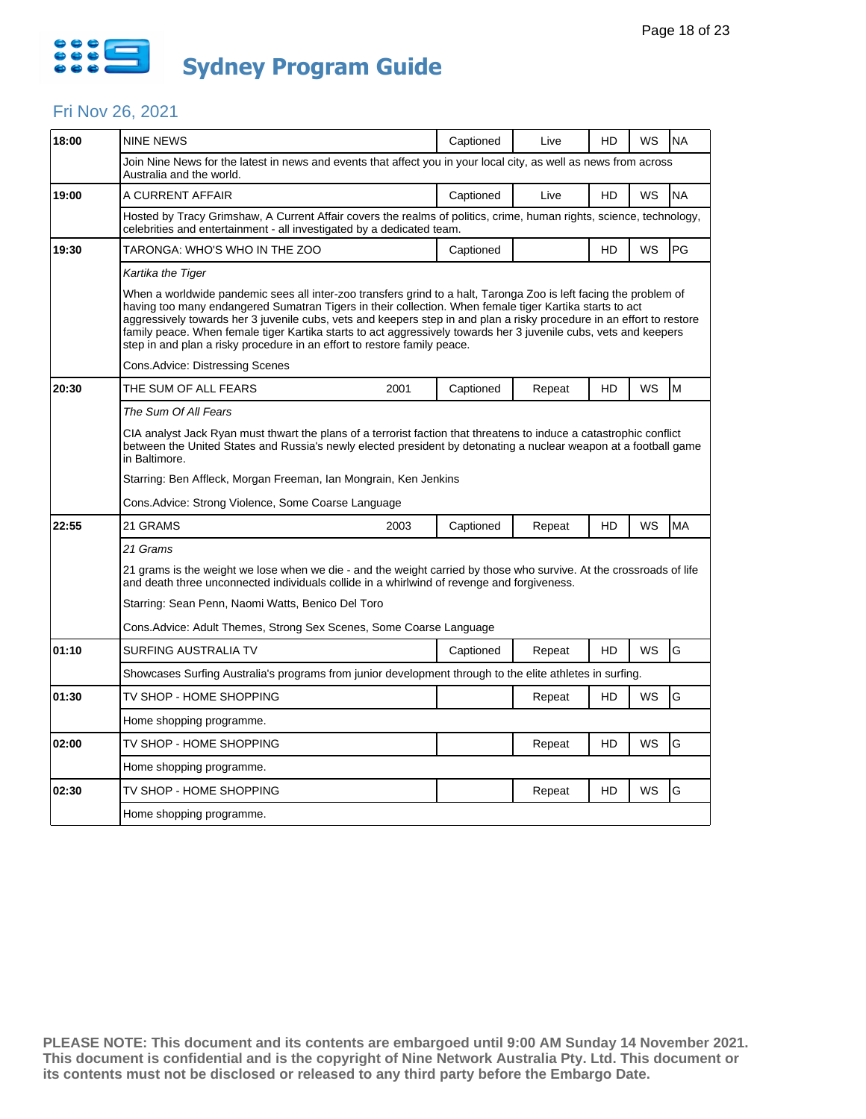

#### Fri Nov 26, 2021

| 18:00 | <b>NINE NEWS</b>                                                                                                                                                                                                                                                                                                                                                                                                                                                                                                                                      | Captioned | Live   | HD        | WS        | <b>NA</b> |  |  |
|-------|-------------------------------------------------------------------------------------------------------------------------------------------------------------------------------------------------------------------------------------------------------------------------------------------------------------------------------------------------------------------------------------------------------------------------------------------------------------------------------------------------------------------------------------------------------|-----------|--------|-----------|-----------|-----------|--|--|
|       | Join Nine News for the latest in news and events that affect you in your local city, as well as news from across<br>Australia and the world.                                                                                                                                                                                                                                                                                                                                                                                                          |           |        |           |           |           |  |  |
| 19:00 | A CURRENT AFFAIR                                                                                                                                                                                                                                                                                                                                                                                                                                                                                                                                      | Captioned | Live   | <b>HD</b> | <b>WS</b> | <b>NA</b> |  |  |
|       | Hosted by Tracy Grimshaw, A Current Affair covers the realms of politics, crime, human rights, science, technology,<br>celebrities and entertainment - all investigated by a dedicated team.                                                                                                                                                                                                                                                                                                                                                          |           |        |           |           |           |  |  |
| 19:30 | TARONGA: WHO'S WHO IN THE ZOO                                                                                                                                                                                                                                                                                                                                                                                                                                                                                                                         | Captioned |        | HD        | WS        | PG        |  |  |
|       | Kartika the Tiger                                                                                                                                                                                                                                                                                                                                                                                                                                                                                                                                     |           |        |           |           |           |  |  |
|       | When a worldwide pandemic sees all inter-zoo transfers grind to a halt, Taronga Zoo is left facing the problem of<br>having too many endangered Sumatran Tigers in their collection. When female tiger Kartika starts to act<br>aggressively towards her 3 juvenile cubs, vets and keepers step in and plan a risky procedure in an effort to restore<br>family peace. When female tiger Kartika starts to act aggressively towards her 3 juvenile cubs, vets and keepers<br>step in and plan a risky procedure in an effort to restore family peace. |           |        |           |           |           |  |  |
|       | Cons.Advice: Distressing Scenes                                                                                                                                                                                                                                                                                                                                                                                                                                                                                                                       |           |        |           |           |           |  |  |
| 20:30 | THE SUM OF ALL FEARS<br>2001                                                                                                                                                                                                                                                                                                                                                                                                                                                                                                                          | Captioned | Repeat | HD        | WS        | M         |  |  |
|       | The Sum Of All Fears                                                                                                                                                                                                                                                                                                                                                                                                                                                                                                                                  |           |        |           |           |           |  |  |
|       | CIA analyst Jack Ryan must thwart the plans of a terrorist faction that threatens to induce a catastrophic conflict<br>between the United States and Russia's newly elected president by detonating a nuclear weapon at a football game<br>in Baltimore.                                                                                                                                                                                                                                                                                              |           |        |           |           |           |  |  |
|       | Starring: Ben Affleck, Morgan Freeman, Ian Mongrain, Ken Jenkins                                                                                                                                                                                                                                                                                                                                                                                                                                                                                      |           |        |           |           |           |  |  |
|       | Cons.Advice: Strong Violence, Some Coarse Language                                                                                                                                                                                                                                                                                                                                                                                                                                                                                                    |           |        |           |           |           |  |  |
| 22:55 | 21 GRAMS<br>2003                                                                                                                                                                                                                                                                                                                                                                                                                                                                                                                                      | Captioned | Repeat | <b>HD</b> | <b>WS</b> | <b>MA</b> |  |  |
|       | 21 Grams                                                                                                                                                                                                                                                                                                                                                                                                                                                                                                                                              |           |        |           |           |           |  |  |
|       | 21 grams is the weight we lose when we die - and the weight carried by those who survive. At the crossroads of life<br>and death three unconnected individuals collide in a whirlwind of revenge and forgiveness.                                                                                                                                                                                                                                                                                                                                     |           |        |           |           |           |  |  |
|       | Starring: Sean Penn, Naomi Watts, Benico Del Toro                                                                                                                                                                                                                                                                                                                                                                                                                                                                                                     |           |        |           |           |           |  |  |
|       | Cons. Advice: Adult Themes, Strong Sex Scenes, Some Coarse Language                                                                                                                                                                                                                                                                                                                                                                                                                                                                                   |           |        |           |           |           |  |  |
| 01:10 | SURFING AUSTRALIA TV                                                                                                                                                                                                                                                                                                                                                                                                                                                                                                                                  | Captioned | Repeat | <b>HD</b> | <b>WS</b> | G         |  |  |
|       | Showcases Surfing Australia's programs from junior development through to the elite athletes in surfing.                                                                                                                                                                                                                                                                                                                                                                                                                                              |           |        |           |           |           |  |  |
| 01:30 | TV SHOP - HOME SHOPPING                                                                                                                                                                                                                                                                                                                                                                                                                                                                                                                               |           | Repeat | HD        | <b>WS</b> | G         |  |  |
|       | Home shopping programme.                                                                                                                                                                                                                                                                                                                                                                                                                                                                                                                              |           |        |           |           |           |  |  |
| 02:00 | TV SHOP - HOME SHOPPING                                                                                                                                                                                                                                                                                                                                                                                                                                                                                                                               |           | Repeat | HD        | <b>WS</b> | G         |  |  |
|       |                                                                                                                                                                                                                                                                                                                                                                                                                                                                                                                                                       |           |        |           |           |           |  |  |
|       | Home shopping programme.                                                                                                                                                                                                                                                                                                                                                                                                                                                                                                                              |           |        |           |           |           |  |  |
| 02:30 | TV SHOP - HOME SHOPPING                                                                                                                                                                                                                                                                                                                                                                                                                                                                                                                               |           | Repeat | HD        | WS        | G         |  |  |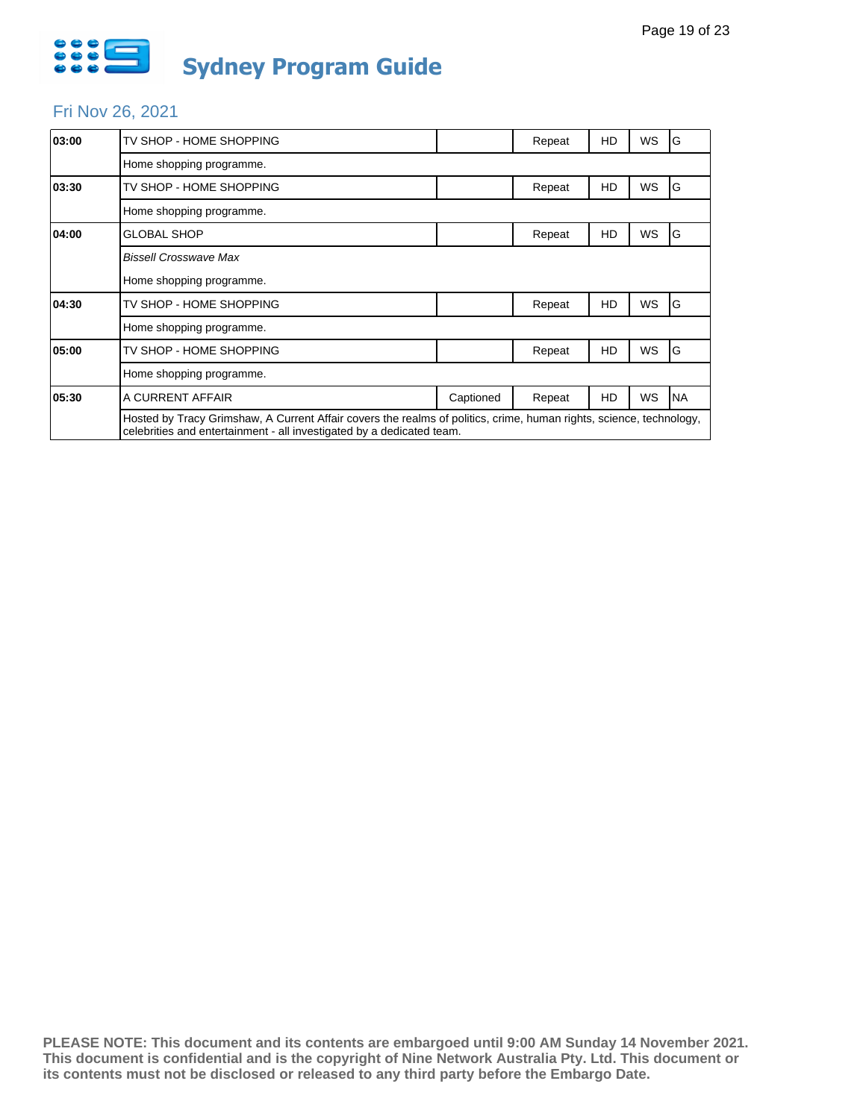

# Fri Nov 26, 2021

| 03:00 | TV SHOP - HOME SHOPPING                                                                                                                                                                      |           | Repeat | HD | WS | G         |
|-------|----------------------------------------------------------------------------------------------------------------------------------------------------------------------------------------------|-----------|--------|----|----|-----------|
|       | Home shopping programme.                                                                                                                                                                     |           |        |    |    |           |
| 03:30 | TV SHOP - HOME SHOPPING                                                                                                                                                                      |           | Repeat | HD | WS | G         |
|       | Home shopping programme.                                                                                                                                                                     |           |        |    |    |           |
| 04:00 | GLOBAL SHOP                                                                                                                                                                                  |           | Repeat | HD | WS | G         |
|       | Bissell Crosswave Max                                                                                                                                                                        |           |        |    |    |           |
|       | Home shopping programme.                                                                                                                                                                     |           |        |    |    |           |
| 04:30 | TV SHOP - HOME SHOPPING                                                                                                                                                                      |           | Repeat | HD | WS | G         |
|       | Home shopping programme.                                                                                                                                                                     |           |        |    |    |           |
| 05:00 | TV SHOP - HOME SHOPPING                                                                                                                                                                      |           | Repeat | HD | WS | G         |
|       | Home shopping programme.                                                                                                                                                                     |           |        |    |    |           |
| 05:30 | A CURRENT AFFAIR                                                                                                                                                                             | Captioned | Repeat | HD | WS | <b>NA</b> |
|       | Hosted by Tracy Grimshaw, A Current Affair covers the realms of politics, crime, human rights, science, technology,<br>celebrities and entertainment - all investigated by a dedicated team. |           |        |    |    |           |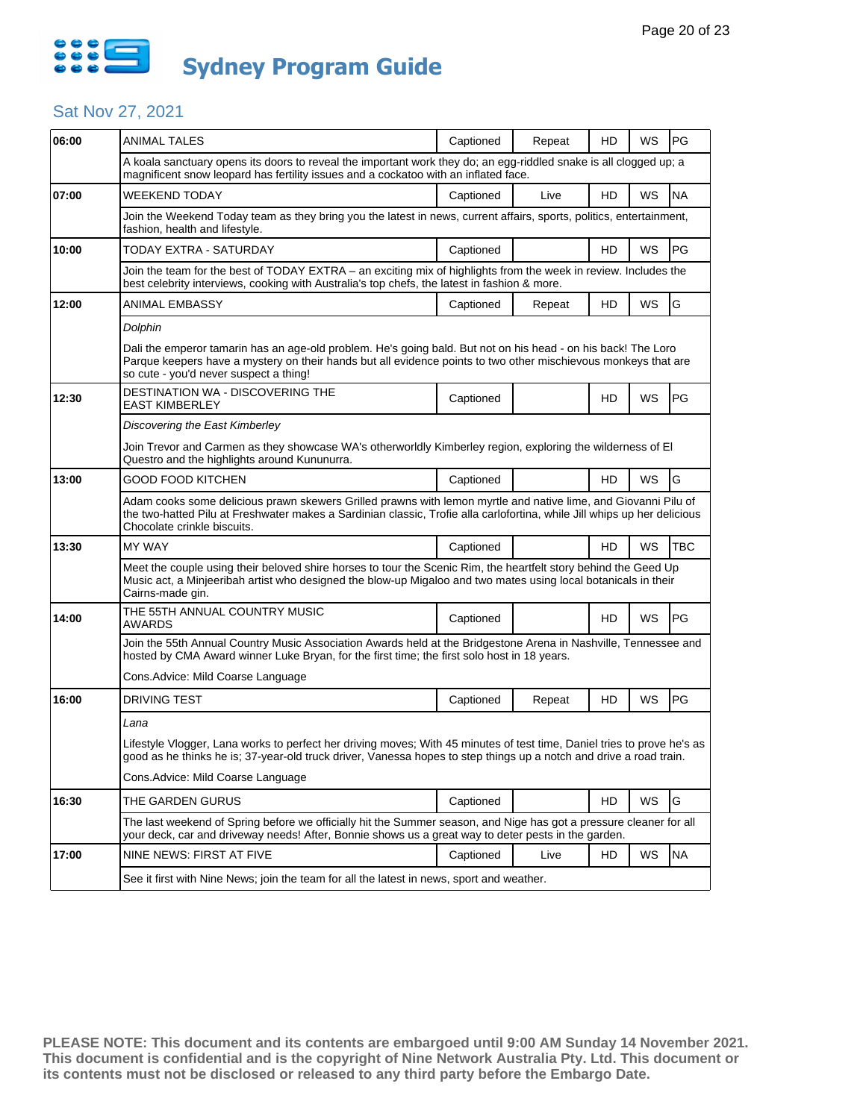

| 06:00 | <b>ANIMAL TALES</b>                                                                                                                                                                                                                                                       | Captioned | Repeat | HD | WS | PG         |  |  |  |
|-------|---------------------------------------------------------------------------------------------------------------------------------------------------------------------------------------------------------------------------------------------------------------------------|-----------|--------|----|----|------------|--|--|--|
|       | A koala sanctuary opens its doors to reveal the important work they do; an egg-riddled snake is all clogged up; a<br>magnificent snow leopard has fertility issues and a cockatoo with an inflated face.                                                                  |           |        |    |    |            |  |  |  |
| 07:00 | WEEKEND TODAY                                                                                                                                                                                                                                                             | Captioned | Live   | HD | WS | <b>NA</b>  |  |  |  |
|       | Join the Weekend Today team as they bring you the latest in news, current affairs, sports, politics, entertainment,<br>fashion, health and lifestyle.                                                                                                                     |           |        |    |    |            |  |  |  |
| 10:00 | TODAY EXTRA - SATURDAY                                                                                                                                                                                                                                                    | Captioned |        | HD | WS | PG         |  |  |  |
|       | Join the team for the best of TODAY EXTRA - an exciting mix of highlights from the week in review. Includes the<br>best celebrity interviews, cooking with Australia's top chefs, the latest in fashion & more.                                                           |           |        |    |    |            |  |  |  |
| 12:00 | ANIMAL EMBASSY                                                                                                                                                                                                                                                            | Captioned | Repeat | HD | WS | G          |  |  |  |
|       | Dolphin                                                                                                                                                                                                                                                                   |           |        |    |    |            |  |  |  |
|       | Dali the emperor tamarin has an age-old problem. He's going bald. But not on his head - on his back! The Loro<br>Parque keepers have a mystery on their hands but all evidence points to two other mischievous monkeys that are<br>so cute - you'd never suspect a thing! |           |        |    |    |            |  |  |  |
| 12:30 | DESTINATION WA - DISCOVERING THE<br><b>EAST KIMBERLEY</b>                                                                                                                                                                                                                 | Captioned |        | HD | WS | <b>PG</b>  |  |  |  |
|       | Discovering the East Kimberley                                                                                                                                                                                                                                            |           |        |    |    |            |  |  |  |
|       | Join Trevor and Carmen as they showcase WA's otherworldly Kimberley region, exploring the wilderness of El<br>Questro and the highlights around Kununurra.                                                                                                                |           |        |    |    |            |  |  |  |
| 13:00 | <b>GOOD FOOD KITCHEN</b>                                                                                                                                                                                                                                                  | Captioned |        | HD | WS | G          |  |  |  |
|       | Adam cooks some delicious prawn skewers Grilled prawns with lemon myrtle and native lime, and Giovanni Pilu of<br>the two-hatted Pilu at Freshwater makes a Sardinian classic. Trofie alla carlofortina, while Jill whips up her delicious<br>Chocolate crinkle biscuits. |           |        |    |    |            |  |  |  |
| 13:30 | <b>MY WAY</b>                                                                                                                                                                                                                                                             | Captioned |        | HD | WS | <b>TBC</b> |  |  |  |
|       | Meet the couple using their beloved shire horses to tour the Scenic Rim, the heartfelt story behind the Geed Up<br>Music act, a Minjeeribah artist who designed the blow-up Migaloo and two mates using local botanicals in their<br>Cairns-made gin.                     |           |        |    |    |            |  |  |  |
| 14:00 | THE 55TH ANNUAL COUNTRY MUSIC<br>AWARDS                                                                                                                                                                                                                                   | Captioned |        | HD | WS | <b>PG</b>  |  |  |  |
|       | Join the 55th Annual Country Music Association Awards held at the Bridgestone Arena in Nashville, Tennessee and<br>hosted by CMA Award winner Luke Bryan, for the first time; the first solo host in 18 years.                                                            |           |        |    |    |            |  |  |  |
|       | Cons. Advice: Mild Coarse Language                                                                                                                                                                                                                                        |           |        |    |    |            |  |  |  |
| 16:00 | <b>DRIVING TEST</b>                                                                                                                                                                                                                                                       | Captioned | Repeat | HD | WS | PG         |  |  |  |
|       | Lana                                                                                                                                                                                                                                                                      |           |        |    |    |            |  |  |  |
|       | Lifestyle Vlogger, Lana works to perfect her driving moves; With 45 minutes of test time, Daniel tries to prove he's as<br>good as he thinks he is; 37-year-old truck driver, Vanessa hopes to step things up a notch and drive a road train.                             |           |        |    |    |            |  |  |  |
|       | Cons. Advice: Mild Coarse Language                                                                                                                                                                                                                                        |           |        |    |    |            |  |  |  |
| 16:30 | THE GARDEN GURUS                                                                                                                                                                                                                                                          | Captioned |        | HD | WS | G          |  |  |  |
|       | The last weekend of Spring before we officially hit the Summer season, and Nige has got a pressure cleaner for all<br>your deck, car and driveway needs! After, Bonnie shows us a great way to deter pests in the garden.                                                 |           |        |    |    |            |  |  |  |
| 17:00 | NINE NEWS: FIRST AT FIVE                                                                                                                                                                                                                                                  | Captioned | Live   | HD | WS | <b>NA</b>  |  |  |  |
|       |                                                                                                                                                                                                                                                                           |           |        |    |    |            |  |  |  |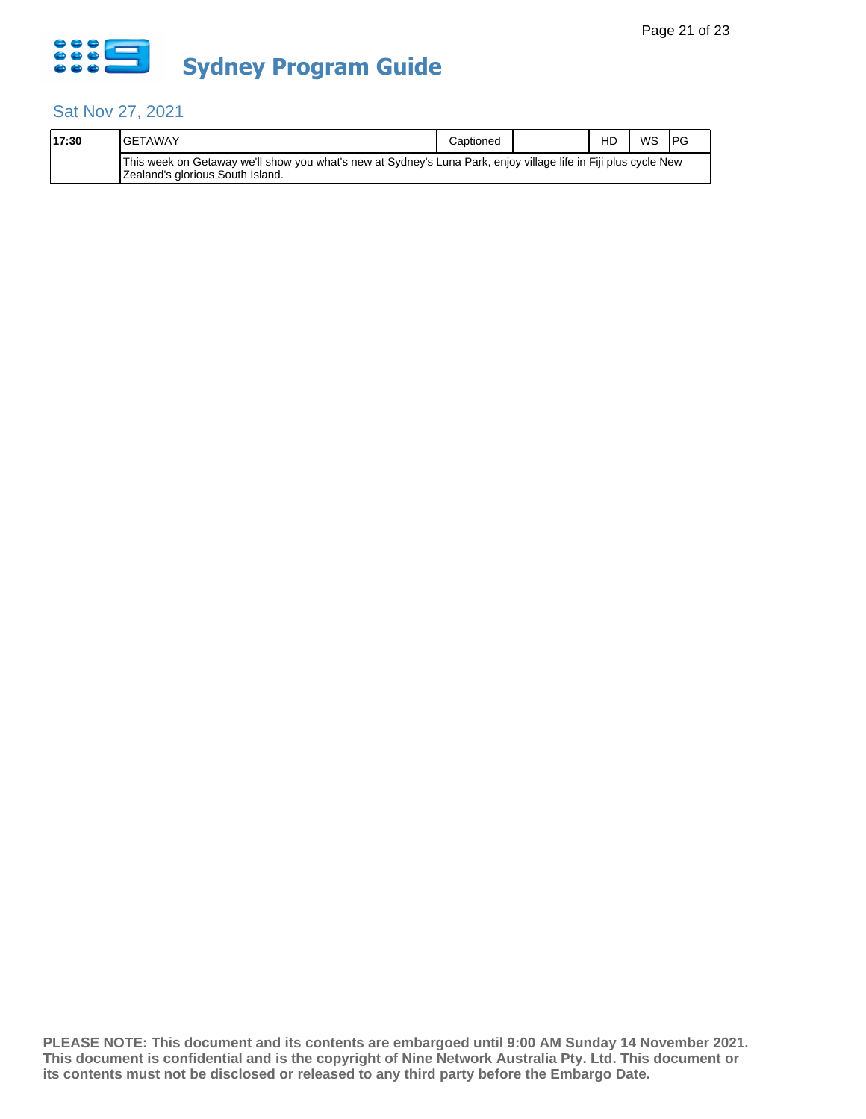

| 17:30 | IGETAWAY                                                                                                                                            | Captioned | HD | WS | <b>IPG</b> |
|-------|-----------------------------------------------------------------------------------------------------------------------------------------------------|-----------|----|----|------------|
|       | This week on Getaway we'll show you what's new at Sydney's Luna Park, enjoy village life in Fiji plus cycle New<br>Zealand's glorious South Island. |           |    |    |            |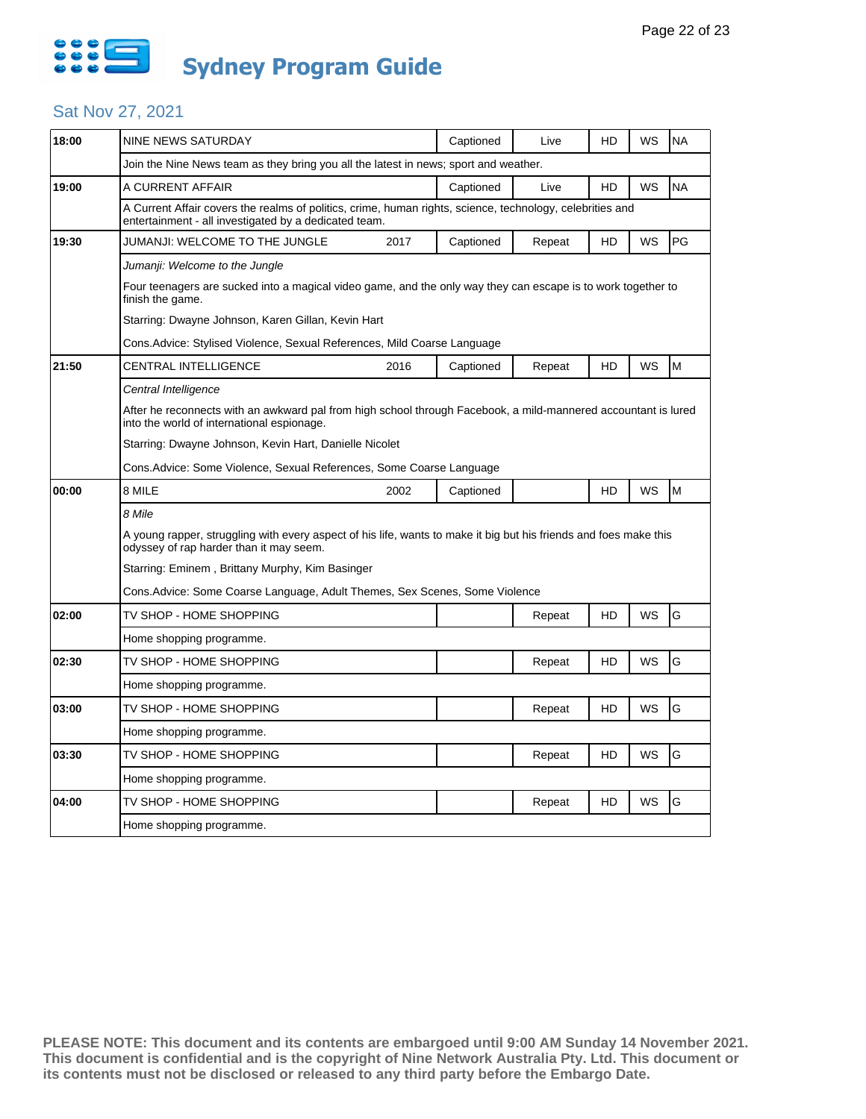

| 18:00 | <b>NINE NEWS SATURDAY</b>                                                                                                                                          |      | Captioned | Live   | HD | WS | <b>NA</b> |  |
|-------|--------------------------------------------------------------------------------------------------------------------------------------------------------------------|------|-----------|--------|----|----|-----------|--|
|       | Join the Nine News team as they bring you all the latest in news; sport and weather.                                                                               |      |           |        |    |    |           |  |
| 19:00 | A CURRENT AFFAIR                                                                                                                                                   |      | Captioned | Live   | HD | WS | <b>NA</b> |  |
|       | A Current Affair covers the realms of politics, crime, human rights, science, technology, celebrities and<br>entertainment - all investigated by a dedicated team. |      |           |        |    |    |           |  |
| 19:30 | JUMANJI: WELCOME TO THE JUNGLE                                                                                                                                     | 2017 | Captioned | Repeat | HD | WS | PG        |  |
|       | Jumanji: Welcome to the Jungle                                                                                                                                     |      |           |        |    |    |           |  |
|       | Four teenagers are sucked into a magical video game, and the only way they can escape is to work together to<br>finish the game.                                   |      |           |        |    |    |           |  |
|       | Starring: Dwayne Johnson, Karen Gillan, Kevin Hart                                                                                                                 |      |           |        |    |    |           |  |
|       | Cons.Advice: Stylised Violence, Sexual References, Mild Coarse Language                                                                                            |      |           |        |    |    |           |  |
| 21:50 | CENTRAL INTELLIGENCE                                                                                                                                               | 2016 | Captioned | Repeat | HD | WS | M         |  |
|       | Central Intelligence                                                                                                                                               |      |           |        |    |    |           |  |
|       | After he reconnects with an awkward pal from high school through Facebook, a mild-mannered accountant is lured<br>into the world of international espionage.       |      |           |        |    |    |           |  |
|       | Starring: Dwayne Johnson, Kevin Hart, Danielle Nicolet                                                                                                             |      |           |        |    |    |           |  |
|       |                                                                                                                                                                    |      |           |        |    |    |           |  |
|       | Cons.Advice: Some Violence, Sexual References, Some Coarse Language                                                                                                |      |           |        |    |    |           |  |
| 00:00 | 8 MILE                                                                                                                                                             | 2002 | Captioned |        | HD | WS | M         |  |
|       | 8 Mile                                                                                                                                                             |      |           |        |    |    |           |  |
|       | A young rapper, struggling with every aspect of his life, wants to make it big but his friends and foes make this<br>odyssey of rap harder than it may seem.       |      |           |        |    |    |           |  |
|       | Starring: Eminem, Brittany Murphy, Kim Basinger                                                                                                                    |      |           |        |    |    |           |  |
|       | Cons.Advice: Some Coarse Language, Adult Themes, Sex Scenes, Some Violence                                                                                         |      |           |        |    |    |           |  |
| 02:00 | TV SHOP - HOME SHOPPING                                                                                                                                            |      |           | Repeat | HD | WS | G         |  |
|       | Home shopping programme.                                                                                                                                           |      |           |        |    |    |           |  |
| 02:30 | TV SHOP - HOME SHOPPING                                                                                                                                            |      |           | Repeat | HD | WS | G         |  |
|       | Home shopping programme.                                                                                                                                           |      |           |        |    |    |           |  |
| 03:00 | TV SHOP - HOME SHOPPING                                                                                                                                            |      |           | Repeat | HD | WS | G         |  |
|       | Home shopping programme.                                                                                                                                           |      |           |        |    |    |           |  |
| 03:30 | TV SHOP - HOME SHOPPING                                                                                                                                            |      |           | Repeat | HD | WS | G         |  |
|       | Home shopping programme.                                                                                                                                           |      |           |        |    |    |           |  |
| 04:00 | TV SHOP - HOME SHOPPING                                                                                                                                            |      |           | Repeat | HD | WS | G         |  |